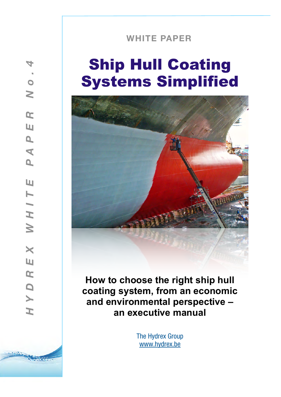# **WHITE PAPER**

# Ship Hull Coating Systems Simplified



**How to choose the right ship hull coating system, from an economic and environmental perspective – an executive manual**

> The Hydrex Group [www.hydrex.be](http://www.hydrex.be)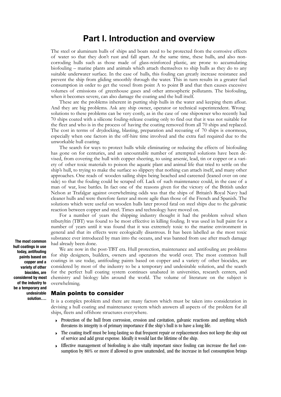# **Part I. Introduction and overview**

The steel or aluminum hulls of ships and boats need to be protected from the corrosive effects of water so that they don't rust and fall apart. At the same time, these hulls, and also noncorroding hulls such as those made of glass-reinforced plastic, are prone to accumulating biofouling – marine plants and animals which attach themselves to ship hulls as they do to any suitable underwater surface. In the case of hulls, this fouling can greatly increase resistance and prevent the ship from gliding smoothly through the water. This in turn results in a greater fuel consumption in order to get the vessel from point A to point B and that then causes excessive volumes of emissions of greenhouse gases and other atmospheric pollutants. The biofouling, when it becomes severe, can also damage the coating and the hull itself.

These are the problems inherent in putting ship hulls in the water and keeping them afloat. And they are big problems. Ask any ship owner, operator or technical superintendent. Wrong solutions to these problems can be very costly, as in the case of one shipowner who recently had 70 ships coated with a silicone fouling-release coating only to find out that it was not suitable for the fleet and who is in the process of having the coating removed from all 70 ships and replaced. The cost in terms of drydocking, blasting, preparation and recoating of 70 ships is enormous, especially when one factors in the off-hire time involved and the extra fuel required due to the unworkable hull coating.

The search for ways to protect hulls while eliminating or reducing the effects of biofouling has gone on for centuries, and an uncountable number of attempted solutions have been devised, from covering the hull with copper sheeting, to using arsenic, lead, tin or copper or a variety of other toxic materials to poison the aquatic plant and animal life that tried to settle on the ship's hull, to trying to make the surface so slippery that nothing can attach itself, and many other approaches. One reads of wooden sailing ships being beached and careened (leaned over on one side) so that the fouling could be scraped off. Lack of such maintenance could, in the case of a man of war, lose battles. In fact one of the reasons given for the victory of the British under Nelson at Trafalgar against overwhelming odds was that the ships of Britain's Royal Navy had cleaner hulls and were therefore faster and more agile than those of the French and Spanish. The solutions which were useful on wooden hulls later proved fatal on steel ships due to the galvanic reaction between copper and steel. Times and technology have moved on.

For a number of years the shipping industry thought it had the problem solved when tributyltin (TBT) was found to be most effective in killing fouling. It was used in hull paint for a number of years until it was found that it was extremely toxic to the marine environment in general and that its effects were ecologically disastrous. It has been labelled as the most toxic substance ever introduced by man into the oceans, and was banned from use after much damage had already been done.

We are now in the post-TBT era. Hull protection, maintenance and antifouling are problems for ship designers, builders, owners and operators the world over. The most common hull coatings in use today, antifouling paints based on copper and a variety of other biocides, are considered by most of the industry to be a temporary and undesirable solution, and the search for the perfect hull coating system continues unabated in universities, research centers, and chemistry and biology labs around the world. The volume of literature on the subject is overwhelming.

#### Main points to consider

It is a complex problem and there are many factors which must be taken into consideration in devising a hull coating and maintenance system which answers all aspects of the problem for all ships, fleets and offshore structures everywhere.

- Protection of the hull from corrosion, erosion and cavitation, galvanic reactions and anything which threatens its integrity is of primary importance if the ship's hull is to have a long life.
- $\triangleright$  The coating itself must be long-lasting so that frequent repair or replacement does not keep the ship out of service and add great expense. Ideally it would last the lifetime of the ship.
- ‣ Effective management of biofouling is also vitally important since fouling can increase the fuel consumption by 80% or more if allowed to grow unattended, and the increase in fuel consumption brings

**The most common hull coatings in use today, antifouling paints based on copper and a variety of other biocides, are considered by most of the industry to be a temporary and undesirable solution….**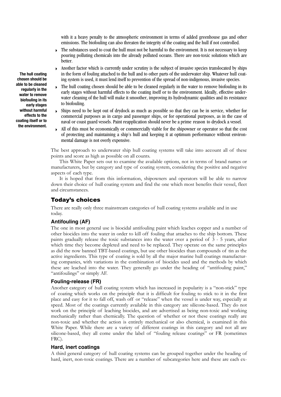with it a heavy penalty to the atmospheric environment in terms of added greenhouse gas and other emissions. The biofouling can also threaten the integrity of the coating and the hull if not controlled.

- $\triangleright$  The substances used to coat the hull must not be harmful to the environment. It is not necessary to keep pouring polluting chemicals into the already polluted oceans. There are non-toxic solutions which are better.
- ‣ Another factor which is currently under scrutiny is the subject of invasive species translocated by ships in the form of fouling attached to the hull and to other parts of the underwater ship. Whatever hull coating system is used, it must lend itself to prevention of the spread of non-indigenous, invasive species.
- $\triangleright$  The hull coating chosen should be able to be cleaned regularly in the water to remove biofouling in its early stages without harmful effects to the coating itself or to the environment. Ideally, effective underwater cleaning of the hull will make it smoother, improving its hydrodynamic qualities and its resistance to biofouling.
- ‣ Ships need to be kept out of drydock as much as possible so that they can be in service, whether for commercial purposes as in cargo and passenger ships, or for operational purposes, as in the case of naval or coast guard vessels. Paint reapplication should never be a prime reason to drydock a vessel.
- ‣ All of this must be economically or commercially viable for the shipowner or operator so that the cost of protecting and maintaining a ship's hull and keeping it at optimum performance without environmental damage is not overly expensive.

The best approach to underwater ship hull coating systems will take into account all of these points and score as high as possible on all counts.

This White Paper sets out to examine the available options, not in terms of brand names or manufacturers, but by category and type of coating system, considering the positive and negative aspects of each type.

It is hoped that from this information, shipowners and operators will be able to narrow down their choice of hull coating system and find the one which most benefits their vessel, fleet and circumstances.

# Today's choices

There are really only three mainstream categories of hull coating systems available and in use today.

## **Antifouling (AF)**

The one in most general use is biocidal antifouling paint which leaches copper and a number of other biocides into the water in order to kill off fouling that attaches to the ship bottom. These paints gradually release the toxic substances into the water over a period of 3 - 5 years, after which time they become depleted and need to be replaced. They operate on the same principles as did the now banned TBT-based coatings, but use other biocides than compounds of tin as the active ingredients. This type of coating is sold by all the major marine hull coatings manufacturing companies, with variations in the combination of biocides used and the methods by which these are leached into the water. They generally go under the heading of "antifouling paint," "antifoulings" or simply AF.

# **Fouling-release (FR)**

Another category of hull coating system which has increased in popularity is a "non-stick" type of coating which works on the principle that it is difficult for fouling to stick to it in the first place and easy for it to fall off, wash off or "release" when the vessel is under way, especially at speed. Most of the coatings currently available in this category are silicone-based. They do not work on the principle of leaching biocides, and are advertised as being non-toxic and working mechanically rather than chemically. The question of whether or not these coatings really are non-toxic and whether the action is entirely mechanical or also chemical, is examined in this White Paper. While there are a variety of different coatings in this category and not all are silicone-based, they all come under the label of "fouling release coatings" or FR (sometimes FRC).

#### **Hard, inert coatings**

A third general category of hull coating systems can be grouped together under the heading of hard, inert, non-toxic coatings. There are a number of subcategories here and these are each ex-

**The hull coating chosen should be able to be cleaned regularly in the water to remove biofouling in its early stages without harmful effects to the coating itself or to the environment.**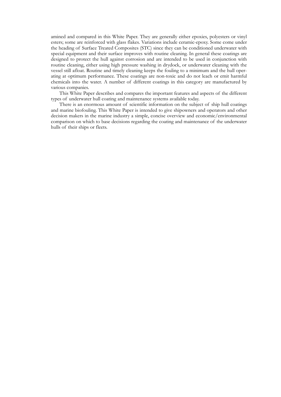amined and compared in this White Paper. They are generally either epoxies, polyesters or vinyl esters; some are reinforced with glass flakes. Variations include ceramic-epoxy. Some come under the heading of Surface Treated Composites (STC) since they can be conditioned underwater with special equipment and their surface improves with routine cleaning. In general these coatings are designed to protect the hull against corrosion and are intended to be used in conjunction with routine cleaning, either using high pressure washing in drydock, or underwater cleaning with the vessel still afloat. Routine and timely cleaning keeps the fouling to a minimum and the hull operating at optimum performance. These coatings are non-toxic and do not leach or emit harmful chemicals into the water. A number of different coatings in this category are manufactured by various companies.

This White Paper describes and compares the important features and aspects of the different types of underwater hull coating and maintenance systems available today.

There is an enormous amount of scientific information on the subject of ship hull coatings and marine biofouling. This White Paper is intended to give shipowners and operators and other decision makers in the marine industry a simple, concise overview and economic/environmental comparison on which to base decisions regarding the coating and maintenance of the underwater hulls of their ships or fleets.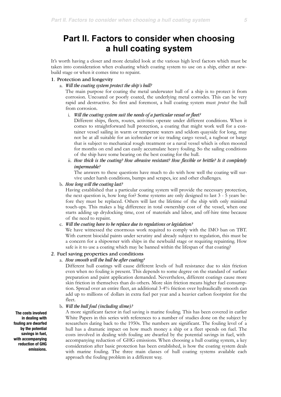# **Part II. Factors to consider when choosing a hull coating system**

It's worth having a closer and more detailed look at the various high level factors which must be taken into consideration when evaluating which coating system to use on a ship, either at newbuild stage or when it comes time to repaint.

#### 1. Protection and longevity

#### a. *Will the coating system protect the ship's hull?*

The main purpose for coating the metal underwater hull of a ship is to protect it from corrosion. Uncoated or poorly coated, the underlying metal corrodes. This can be very rapid and destructive. So first and foremost, a hull coating system must *protect* the hull from corrosion.

#### i. *Will the coating system suit the needs of a particular vessel or fleet?*

Different ships, fleets, routes, activities operate under different conditions. When it comes to straightforward hull protection, a coating that might work well for a container vessel sailing in warm or temperate waters and seldom quayside for long, may not be at all suitable for an icebreaker or ice trading cargo vessel, a tugboat or barge that is subject to mechanical rough treatment or a naval vessel which is often moored for months on end and can easily accumulate heavy fouling. So the sailing conditions of the ship have some bearing on the best coating for the hull.

ii. *How thick is the coating? How abrasive resistant? How flexible or brittle? Is it completely impermeable?*

The answers to these questions have much to do with how well the coating will survive under harsh conditions, bumps and scrapes, ice and other challenges.

#### b. *How long will the coating last?*

Having established that a particular coating system will provide the necessary protection, the next question is, how long for? Some systems are only designed to last 3 - 5 years before they must be replaced. Others will last the lifetime of the ship with only minimal touch-ups. This makes a big difference in total ownership cost of the vessel, when one starts adding up drydocking time, cost of materials and labor, and off-hire time because of the need to repaint.

#### c. *Will the coating have to be replace due to regulations or legislation?*

We have witnessed the enormous work required to comply with the IMO ban on TBT. With current biocidal paints under scrutiny and already subject to regulation, this must be a concern for a shipowner with ships in the newbuild stage or requiring repainting. How safe is it to use a coating which may be banned within the lifespan of that coating?

#### 2. Fuel saving properties and conditions

#### a. *How smooth will the hull be after coating?*

Different hull coatings will cause different levels of hull resistance due to skin friction even when no fouling is present. This depends to some degree on the standard of surface preparation and paint application demanded. Nevertheless, different coatings cause more skin friction in themselves than do others. More skin friction means higher fuel consumption. Spread over an entire fleet, an additional 3-4% friction over hydraulically smooth can add up to millions of dollars in extra fuel per year and a heavier carbon footprint for the fleet.

#### b. *Will the hull foul (including slime)?*

A more significant factor in fuel saving is marine fouling. This has been covered in earlier White Papers in this series with references to a number of studies done on the subject by researchers dating back to the 1950s. The numbers are significant. The fouling level of a hull has a dramatic impact on how much money a ship or a fleet spends on fuel. The costs involved in dealing with fouling are dwarfed by the potential savings in fuel, with accompanying reduction of GHG emissions. When choosing a hull coating system, a key consideration after basic protection has been established, is how the coating system deals with marine fouling. The three main classes of hull coating systems available each approach the fouling problem in a different way.

**The costs involved in dealing with fouling are dwarfed by the potential savings in fuel, with accompanying reduction of GHG emissions.**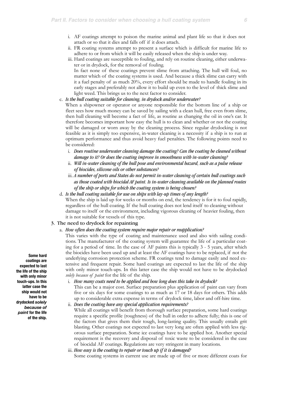- i. AF coatings attempt to poison the marine animal and plant life so that it does not attach or so that it dies and falls off if it does attach.
- ii. FR coating systems attempt to present a surface which is difficult for marine life to adhere to or from which it will be easily released when the ship is under way.
- iii. Hard coatings are susceptible to fouling, and rely on routine cleaning, either underwater or in drydock, for the removal of fouling.

In fact none of these coatings prevent slime from attaching. The hull will foul, no matter which of the coating systems is used. And because a thick slime can carry with it a fuel penalty of as much 20%, every effort should be made to handle fouling in its early stages and preferably not allow it to build up even to the level of thick slime and light weed. This brings us to the next factor to consider.

#### c. *Is the hull coating suitable for cleaning, in drydock and/or underwater?*

When a shipowner or operator or anyone responsible for the bottom line of a ship or fleet sees how much money can be saved by sailing with a clean hull, free even from slime, then hull cleaning will become a fact of life, as routine as changing the oil in one's car. It therefore becomes important how easy the hull is to clean and whether or not the coating will be damaged or worn away by the cleaning process. Since regular drydocking is not feasible as it is simply too expensive, in-water cleaning is a necessity if a ship is to run at optimum performance and thus avoid heavy fuel penalties. The following points need to be considered:

- i. *Does routine underwater cleaning damage the coating? Can the coating be cleaned without damage to it? Or does the coating improve in smoothness with in-water cleaning?*
- ii. *Will in-water cleaning of the hull pose and environmental hazard, such as a pulse release of biocides, silicone oils or other substances?*
- iii. *A number of ports and States do not permit in-water cleaning of certain hull coatings such as those coated with biocidal AF paint. Is in-water cleaning available on the planned routes of the ship or ships for which the coating system is being chosen?*
- d. *Is the hull coating suitable for use on ships with lay-up times of any length?*

When the ship is laid up for weeks or months on end, the tendency is for it to foul rapidly, regardless of the hull coating. If the hull coating does not lend itself to cleaning without damage to itself or the environment, including vigorous cleaning of heavier fouling, then it is not suitable for vessels of this type.

#### 3. The need to drydock for repainting

#### a. *How often does the coating system require major repair or reapplication?*

This varies with the type of coating and maintenance used and also with sailing conditions. The manufacturer of the coating system will guarantee the life of a particular coating for a period of time. In the case of AF paints this is typically 3 - 5 years, after which the biocides have been used up and at least the AF coatings have to be replaced, if not the underlying corrosion protection scheme. FR coatings tend to damage easily and need extensive and frequent repair. Some hard coatings are expected to last the life of the ship with only minor touch-ups. In this latter case the ship would not have to be drydocked *solely because of paint* for the life of the ship.

i. *How many coats need to be applied and how long does this take in drydock?*

This can be a major cost. Surface preparation plus application of paint can vary from five or six days for some coatings to as much as 17 or 18 days for others. This adds up to considerable extra expense in terms of drydock time, labor and off-hire time.

ii. *Does the coating have any special application requirements?*

While all coatings will benefit from thorough surface preparation, some hard coatings require a specific profile (roughness) of the hull in order to adhere fully; this is one of the factors that gives them their tough, long-lasting quality. This usually entails grit blasting. Other coatings not expected to last very long are often applied with less rigorous surface preparation. Some ice coatings have to be applied hot. Another special requirement is the recovery and disposal of toxic waste to be considered in the case of biocidal AF coatings. Regulations are very stringent in many locations.

#### iii. *How easy is the coating to repair or touch up if it is damaged?*

Some coating systems in current use are made up of five or more different coats for

**Some hard coatings are expected to last the life of the ship with only minor touch-ups. In this latter case the ship would not have to be drydocked** *solely because of paint* **for the life of the ship.**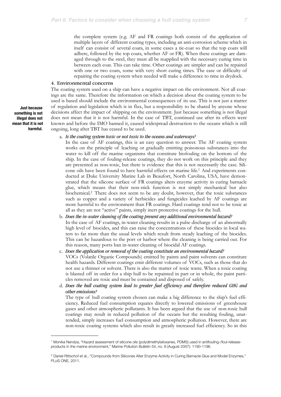the complete system (e.g. AF and FR coatings both consist of the application of multiple layers of different coating types, including an anti-corrosion scheme which in itself can consist of several coats, in some cases a tie-coat so that the top coats will adhere, followed by the top coats, whether AF or FR). When these coatings are damaged through to the steel, they must all be reapplied with the necessary curing time in between each coat. This can take time. Other coatings are simpler and can be repaired with one or two coats, some with very short curing times. The ease or difficulty of repairing the coating system when needed will make a difference to time in drydock.

#### 4. Environmental concerns

The coating system used on a ship can have a negative impact on the environment. Not all coatings are the same. Therefore the information on which a decision about the coating system to be used is based should include the environmental consequences of its use. This is not just a matter of regulation and legislation which is in flux, but a responsibility to be shared by anyone whose decisions affect the impact of shipping on the environment. Just because something is not illegal does not mean that it is not harmful. In the case of TBT, continued use after its effects were known and before the IMO banned it, caused widespread destruction to the oceans which is still ongoing, long after TBT has ceased to be used.

#### a. *Is the coating system toxic or not toxic to the oceans and waterways?*

In the case of AF coatings, this is an easy question to answer. The AF coating system works on the principle of leaching or gradually emitting poisonous substances into the water to kill off the marine organisms that constitute biofouling on the bottom of the ship. In the case of fouling-release coatings, they do not work on this principle and they are presented as non-toxic, but there is evidence that this is not necessarily the case. Silicone oils have been found to have harmful effects on marine life[.1](#page-6-0) And experiments conducted at Duke University Marine Lab in Beaufort, North Carolina, USA, have demonstrated that the silicone surface of FR coatings alters enzyme activity in curing barnacle glue, which means that their non-stick function is not simply mechanical but also biochemical[.2](#page-6-1) There does not seem to be any doubt, however, that the toxic substances such as copper and a variety of herbicides and fungicides leached by AF coatings are more harmful to the environment than FR coatings. Hard coatings tend not to be toxic at all as they are not "active" paints, simply inert protective coatings for the hull.

b. *Does the in-water cleaning of the coating present any additional environmental hazard?* In the case of AF coatings, in-water cleaning results in a pulse discharge of an abnormally high level of biocides, and this can raise the concentrations of these biocides in local waters to far more than the usual levels which result from steady leaching of the biocides. This can be hazardous to the port or harbor where the cleaning is being carried out. For this reason, many ports ban in-water cleaning of biocidal AF coatings.

c. *Does the application or removal of the coating constitute an environmental hazard?* VOCs (Volatile Organic Compounds) emitted by paints and paint solvents can constitute health hazards. Different coatings emit different volumes of VOCs, such as those that do not use a thinner or solvent. There is also the matter of toxic waste. When a toxic coating is blasted off in order for a ship hull to be repainted in part or in whole, the paint particles removed are toxic and must be contained and disposed of safely.

d. *Does the hull coating system lead to greater fuel efficiency and therefore reduced GHG and other emissions?*

The type of hull coating system chosen can make a big difference to the ship's fuel efficiency. Reduced fuel consumption equates directly to lowered emissions of greenhouse gases and other atmospheric pollutants. It has been argued that the use of non-toxic hull coatings may result in reduced pollution of the oceans but the resulting fouling, unattended, simply increases fuel consumption and atmospheric pollution. However, there are non-toxic coating systems which also result in greatly increased fuel efficiency. So in this

**Just because something is not illegal does not mean that it is not harmful.**

<span id="page-6-0"></span><sup>1</sup> Monika Nendza, "Hazard assessment of silicone oils (polydimethylsiloxanes, PDMS) used in antifouling-/foul-releaseproducts in the marine environment," Marine Pollution Bulletin 54, no. 8 (August 2007): 1190-1196.

<span id="page-6-1"></span><sup>&</sup>lt;sup>2</sup> Daniel Rittschof et al., "Compounds from Silicones Alter Enzyme Activity in Curing Barnacle Glue and Model Enzymes," PLoS ONE, 2011.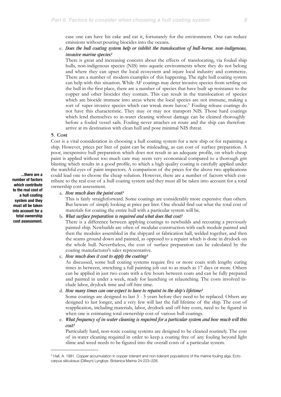case one can have his cake and eat it, fortunately for the environment. One can reduce emissions without pouring biocides into the oceans.

e. *Does the hull coating system help or inhibit the translocation of hull-borne, non-indigenous, invasive marine species?*

There is great and increasing concern about the effects of translocating, via fouled ship hulls, non-indigenous species (NIS) into aquatic environments where they do not belong and where they can upset the local ecosystem and injure local industry and commerce. There are a number of modern examples of this happening. The right hull coating system can help with this situation. While AF coatings may deter invasive species from settling on the hull in the first place, there are a number of species that have built up resistance to the copper and other biocides they contain. This can result in the translocation of species which are biocide immune into areas where the local species are not immune, making a sort of super invasive species which can wreak more havoc.<sup>3</sup> Fouling release coatings do not have this characteristic. They may or may not transport NIS. Those hard coatings which lend themselves to in-water cleaning without damage can be cleaned thoroughly before a fouled vessel sails. Fouling never attaches en route and the ship can therefore arrive at its destination with clean hull and pose minimal NIS threat.

#### 5. Cost

Cost is a vital consideration in choosing a hull coating system for a new ship or for repainting a ship. However, prices per liter of paint can be misleading, as can cost of surface preparation. A poor, inexpensive hull preparation which does not result in an adequate profile, on which cheap paint is applied without too much care may seem very economical compared to a thorough grit blasting which results in a good profile, to which a high quality coating is carefully applied under the watchful eyes of paint inspectors. A comparison of the prices for the above two applications could lead one to choose the cheap solution. However, there are a number of factors which contribute to the real cost of a hull coating system and they must all be taken into account for a total ownership cost assessment.

#### a. *How much does the paint cost?*

This is fairly straightforward. Some coatings are considerably more expensive than others. But beware of simply looking at price per liter. One should find out what the total cost of materials for coating the entire hull with a particular system will be.

#### b. *What surface preparation is required and what does that cost?*

There is a difference between applying coatings to newbuilds and recoating a previously painted ship. Newbuilds are often of modular construction with each module painted and then the modules assembled in the shipyard or fabrication hall, welded together, and then the seams ground down and painted, as opposed to a repaint which is done in drydock on the whole hull. Nevertheless, the cost of surface preparation can be calculated by the coating manufacturer's sales representative.

c. *How much does it cost to apply the coating?*

As discussed, some hull coating systems require five or more coats with lengthy curing times in between, stretching a full painting job out to as much as 17 days or more. Others can be applied in just two coats with a few hours between coats and can be fully prepared and painted in under a week, ready for launching or relaunching. The costs involved include labor, drydock time and off-hire time.

d. *How many times can one expect to have to repaint in the ship's lifetime?*

Some coatings are designed to last 3 - 5 years before they need to be replaced. Others are designed to last longer, and a very few will last the full lifetime of the ship. The cost of reapplication, including materials, labor, drydock and off-hire costs, need to be figured in when one is estimating total ownership cost of various hull coatings.

e. *What frequency of in-water cleaning is required for a particular system and how much will this cost?* 

Particularly hard, non-toxic coating systems are designed to be cleaned routinely. The cost of in-water cleaning required in order to keep a coating free of any fouling beyond light slime and weed needs to be figured into the overall costs of a particular system.

**...there are a number of factors which contribute to the real cost of a hull coating system and they must all be taken into account for a total ownership cost assessment.**

<span id="page-7-0"></span><sup>&</sup>lt;sup>3</sup> Hall, A. 1981. Copper accumulation in copper tolerant and non-tolerant populations of the marine fouling alga, Ectocarpus siliculosus (Dillwyn) Lyngbye. Botanica Marina 24:223–228.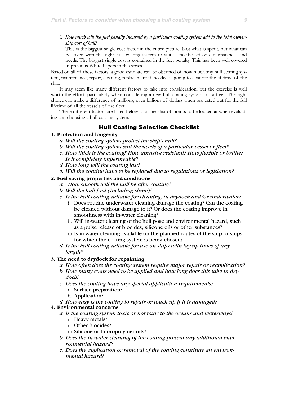f. *How much will the fuel penalty incurred by a particular coating system add to the total ownership cost of hull?*

This is the biggest single cost factor in the entire picture. Not what is spent, but what can be saved with the right hull coating system to suit a specific set of circumstances and needs. The biggest single cost is contained in the fuel penalty. This has been well covered in previous White Papers in this series.

Based on all of these factors, a good estimate can be obtained of how much any hull coating system, maintenance, repair, cleaning, replacement if needed is going to cost for the lifetime of the ship.

It may seem like many different factors to take into consideration, but the exercise is well worth the effort, particularly when considering a new hull coating system for a fleet. The right choice can make a difference of millions, even billions of dollars when projected out for the full lifetime of all the vessels of the fleet.

These different factors are listed below as a checklist of points to be looked at when evaluating and choosing a hull coating system.

# Hull Coating Selection Checklist

#### **1. Protection and longevity**

- *a. Will the coating system protect the ship's hull?*
- *b. Will the coating system suit the needs of a particular vessel or fleet?*
- *c. How thick is the coating? How abrasive resistant? How flexible or brittle? Is it completely impermeable?*
- *d. How long will the coating last?*
- *e. Will the coating have to be replaced due to regulations or legislation?*

#### **2. Fuel saving properties and conditions**

- *a. How smooth will the hull be after coating?*
- *b. Will the hull foul (including slime)?*
- *c. Is the hull coating suitable for cleaning, in drydock and/or underwater?* 
	- i. Does routine underwater cleaning damage the coating? Can the coating be cleaned without damage to it? Or does the coating improve in smoothness with in-water cleaning?
	- ii. Will in-water cleaning of the hull pose and environmental hazard, such as a pulse release of biocides, silicone oils or other substances?
	- iii.Is in-water cleaning available on the planned routes of the ship or ships for which the coating system is being chosen?
- *d. Is the hull coating suitable for use on ships with lay-up times of any length?*

#### **3. The need to drydock for repainting**

- *a. How often does the coating system require major repair or reapplication?*
- *b. How many coats need to be applied and how long does this take in drydock?*
- *c. Does the coating have any special application requirements?* 
	- i. Surface preparation? ii. Application?
- *d. How easy is the coating to repair or touch up if it is damaged?*

#### **4. Environmental concerns**

- *a. Is the coating system toxic or not toxic to the oceans and waterways?*  i. Heavy metals?
	- ii. Other biocides?
	- iii.Silicone or fluoropolymer oils?
- *b. Does the in-water cleaning of the coating present any additional environmental hazard?*
- *c. Does the application or removal of the coating constitute an environmental hazard?*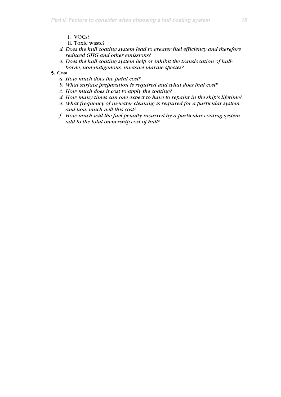- ii. Toxic waste?
- *d. Does the hull coating system lead to greater fuel efficiency and therefore reduced GHG and other emissions?*
- *e. Does the hull coating system help or inhibit the translocation of hullborne, non-indigenous, invasive marine species?*

### **5. Cost**

- *a. How much does the paint cost?*
- *b. What surface preparation is required and what does that cost?*
- *c. How much does it cost to apply the coating?*
- *d. How many times can one expect to have to repaint in the ship's lifetime?*
- *e. What frequency of in-water cleaning is required for a particular system and how much will this cost?*
- *f. How much will the fuel penalty incurred by a particular coating system add to the total ownership cost of hull?*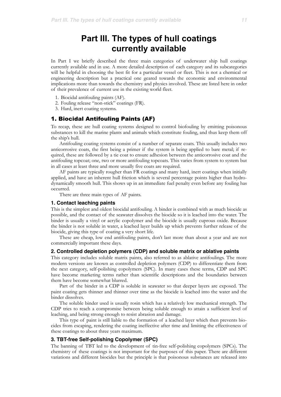# **Part III. The types of hull coatings currently available**

In Part I we briefly described the three main categories of underwater ship hull coatings currently available and in use. A more detailed description of each category and its subcategories will be helpful in choosing the best fit for a particular vessel or fleet. This is not a chemical or engineering description but a practical one geared towards the economic and environmental implications more than towards the chemistry and physics involved. These are listed here in order of their prevalence of current use in the existing world fleet.

- 1. Biocidal antifouling paints (AF).
- 2. Fouling release "non-stick" coatings (FR).
- 3. Hard, inert coating systems.

## 1. Biocidal Antifouling Paints (AF)

To recap, these are hull coating systems designed to control biofouling by emitting poisonous substances to kill the marine plants and animals which constitute fouling, and thus keep them off the ship's hull.

Antifouling coating systems consist of a number of separate coats. This usually includes two anticorrosive coats, the first being a primer if the system is being applied to bare metal; if required, these are followed by a tie coat to ensure adhesion between the anticorrosive coat and the antifouling topcoat; one, two or more antifouling topcoats. This varies from system to system but in all cases at least three and more usually five coats are required.

AF paints are typically rougher than FR coatings and many hard, inert coatings when initially applied, and have an inherent hull friction which is several percentage points higher than hydrodynamically smooth hull. This shows up in an immediate fuel penalty even before any fouling has occurred.

There are three main types of AF paints.

### **1. Contact leaching paints**

This is the simplest and oldest biocidal antifouling. A binder is combined with as much biocide as possible, and the contact of the seawater dissolves the biocide so it is leached into the water. The binder is usually a vinyl or acrylic copolymer and the biocide is usually cuprous oxide. Because the binder is not soluble in water, a leached layer builds up which prevents further release of the biocide, giving this type of coating a very short life.

These are cheap, low end antifouling paints, don't last more than about a year and are not commercially important these days.

#### **2. Controlled depletion polymers (CDP) and soluble matrix or ablative paints**

This category includes soluble matrix paints, also referred to as ablative antifoulings. The more modern versions are known as controlled depletion polymers (CDP) to differentiate them from the next category, self-polishing copolymers (SPC). In many cases these terms, CDP and SPC have become marketing terms rather than scientific descriptions and the boundaries between them have become somewhat blurred.

Part of the binder in a CDP is soluble in seawater so that deeper layers are exposed. The paint coating gets thinner and thinner over time as the biocide is leached into the water and the binder dissolves.

The soluble binder used is usually rosin which has a relatively low mechanical strength. The CDP tries to reach a compromise between being soluble enough to attain a sufficient level of leaching, and being strong enough to resist abrasion and damage.

This type of paint is still liable to the formation of a leached layer which then prevents biocides from escaping, rendering the coating ineffective after time and limiting the effectiveness of these coatings to about three years maximum.

#### **3. TBT-free Self-polishing Copolymer (SPC)**

The banning of TBT led to the development of tin-free self-polishing copolymers (SPCs). The chemistry of these coatings is not important for the purposes of this paper. There are different variations and different biocides but the principle is that poisonous substances are released into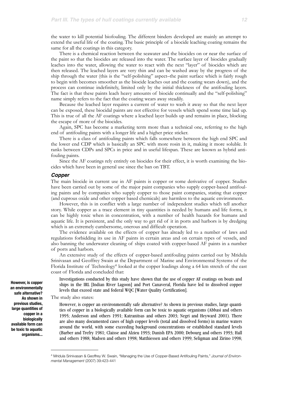the water to kill potential biofouling. The different binders developed are mainly an attempt to extend the useful life of the coating. The basic principle of a biocide leaching coating remains the same for all the coatings in this category.

There is a chemical reaction between the seawater and the biocides on or near the surface of the paint so that the biocides are released into the water. The surface layer of biocides gradually leaches into the water, allowing the water to react with the next "layer" of biocides which are then released. The leached layers are very thin and can be washed away by the progress of the ship through the water (this is the "self-polishing" aspect–the paint surface which is fairly rough to begin with becomes smoother as the biocide leaches out and the coating wears down), and the process can continue indefinitely, limited only by the initial thickness of the antifouling layers. The fact is that these paints leach heavy amounts of biocide continually and the "self-polishing" name simply refers to the fact that the coating wears away steadily.

Because the leached layer requires a current of water to wash it away so that the next layer can be exposed, these biocidal paints are not effective for vessels which spend some time laid up. This is true of all the AF coatings where a leached layer builds up and remains in place, blocking the escape of more of the biocides.

Again, SPC has become a marketing term more than a technical one, referring to the high end of antifouling paints with a longer life and a higher price sticker.

There is a class of antifouling paints which falls somewhere between the high end SPC and the lower end CDP which is basically an SPC with more rosin in it, making it more soluble. It ranks between CDPs and SPCs in price and in useful lifespan. These are known as hybrid antifouling paints.

Since the AF coatings rely entirely on biocides for their effect, it is worth examining the biocides which have been in general use since the ban on TBT.

#### *Copper*

The main biocide in current use in AF paints is copper or some derivative of copper. Studies have been carried out by some of the major paint companies who supply copper-based antifouling paints and by companies who supply copper to those paint companies, stating that copper (and cuprous oxide and other copper based chemicals) are harmless to the aquatic environment.

However, this is in conflict with a large number of independent studies which tell another story. While copper as a trace element in tiny quantities is needed by humans and life forms, it can be highly toxic when in concentration, with a number of health hazards for humans and aquatic life. It is persistent, and the only way to get rid of it in ports and harbors is by dredging which is an extremely cumbersome, onerous and difficult operation.

The evidence available on the effects of copper has already led to a number of laws and regulations forbidding its use in AF paints in certain areas and on certain types of vessels, and also banning the underwater cleaning of ships coated with copper-based AF paints in a number of ports and harbors.

An extensive study of the effects of copper-based antifouling paints carried out by Mridula Srinivasan and Geoffrey Swain at the Department of Marine and Environmental Systems of the Florida Institute of Technology<sup>[4](#page-11-0)</sup> looked at the copper loadings along a 64 km stretch of the east coast of Florida and concluded that:

Investigations conducted by this study have shown that the use of copper AF coatings on boats and ships in the IRL [Indian River Lagoon] and Port Canaveral, Florida have led to dissolved copper levels that exceed state and federal WQC [Water Quality Certification].

The study also states:

However, is copper an environmentally safe alternative? As shown in previous studies, large quantities of copper in a biologically available form can be toxic to aquatic organisms (Abbasi and others 1995; Anderson and others 1991; Katranitsas and others 2003; Negri and Heyward 2001). There are also many documented cases of high copper levels (total and dissolved forms) in marine waters around the world, with some exceeding background concentrations or established standard levels (Barber and Trefry 1981; Claisse and Alzieu 1993; Danish EPA 2000; Debourg and others 1993; Hall and others 1988; Madsen and others 1998; Matthiessen and others 1999; Seligman and Zirino 1998;

**However, is copper an environmentally safe alternative? As shown in previous studies, large quantities of copper in a biologically available form can be toxic to aquatic organisms...** 

<span id="page-11-0"></span><sup>4</sup> Mridula Srinivasan & Geoffrey W. Swain, "Managing the Use of Copper-Based Antifouling Paints," *Journal of Environmental Management* (2007) 39:423-441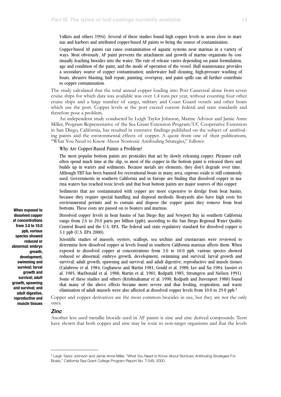Valkirs and others 1994). Several of these studies found high copper levels in areas close to marinas and harbors and attributed copper-based AF paints to being the source of contamination.

Copper-based AF paints can cause contamination of aquatic systems near marinas in a variety of ways. Most obviously, AF paint prevents the attachment and growth of marine organisms by continually leaching biocides into the water. The rate of release varies depending on paint formulation, age and condition of the paint, and the mode of operation of the vessel. Hull maintenance provides a secondary source of copper contamination; underwater hull cleaning, high-pressure washing of boats, abrasive blasting, hull repair, painting, overspray, and paint spills can all further contribute to copper contamination.

The study calculated that the total annual copper loading into Port Canaveral alone from seven cruise ships for which data was available was over 1.4 tons per year, without counting four other cruise ships and a large number of cargo, military and Coast Guard vessels and other boats which use the port. Copper levels at the port exceed current federal and state standards and therefore pose a problem.

An independent study conducted by Leigh Taylor Johnson, Marine Advisor and Jamie Anne Miller, Program Representative of the Sea Grant Extension Program/UC Cooperative Extension in San Diego, California, has resulted in extensive findings published on the subject of antifouling paints and the environmental effects of copper. A quote from one of their publications, "What You Need to Know About Nontoxic Antifouling Strategies," follows:

#### Why Are Copper-Based Paints a Problem?

The most popular bottom paints are pesticides that act by slowly releasing copper. Pleasure craft often spend much time at the slip, so most of the copper in the bottom paint is released there and builds up in waters and sediments. Because metals are elements, they don't degrade over time. Although TBT has been banned for recreational boats in many area, cuprous oxide is still commonly used. Governments in southern California and in Europe are finding that dissolved copper in marina waters has reached toxic levels and that boat bottom paints are major sources of this copper.

Sediments that are contaminated with copper are more expensive to dredge from boat basins, because they require special handling and disposal methods. Boatyards also have high costs for environmental permits and to contain and dispose the copper paint they remove from boat bottoms. These costs are passed on to boaters and marinas.

Dissolved copper levels in boat basins of San Diego Bay and Newport Bay in southern California range from 2.6 to 29.0 parts per billion (ppb), according to the San Diego Regional Water Quality Control Board and the U.S. EPA. The federal and state regulatory standard for dissolved copper is 3.1 ppb (U.S. EPA 2000).

Scientific studies of mussels, oysters, scallops, sea urchins and crustaceans were reviewed to determine how dissolved copper at levels found in southern California marinas affects them. When exposed to dissolved copper at concentrations from 3.0 to 10.0 ppb, various species showed reduced or abnormal: embryo growth, development, swimming and survival; larval growth and survival; adult growth, spawning and survival; and adult digestive, reproductive and muscle tissues (Calabrese et al. 1984; Coglianese and Martin 1981; Gould et al. 1988; Lee and Xu 1984; Lussier et al. 1985; MacDonald et al. 1988; Martin et al. 1981; Redpath 1985; Stromgren and Nielsen 1991). Some of these studies and others (Krishnakumar et al. 1990; Redpath and Davenport 1988) found that many of the above effects became more severe and that feeding, respiration, and waste elimination of adult mussels were also affected at dissolved copper levels from 10.0 to 29.0 ppb.[5](#page-12-0)

Copper and copper derivatives are the most common biocides in use, but they are not the only ones.

#### *Zinc*

Another less used metallic biocide used in AF paints is zinc and zinc derived compounds. Tests have shown that both copper and zinc may be toxic to non-target organisms and that the levels

**When exposed to dissolved copper at concentrations from 3.0 to 10.0 ppb, various species showed reduced or abnormal: embryo growth, development, swimming and survival; larval growth and survival; adult growth, spawning and survival; and adult digestive, reproductive and muscle tissues**

<span id="page-12-0"></span><sup>5</sup> Leigh Taylor Johnson and Jamie Anne Miller, "What You Need to Know About Nontoxic Antifouling Strategies For Boats," California Sea Grant College Program Report No. T-049, 2000.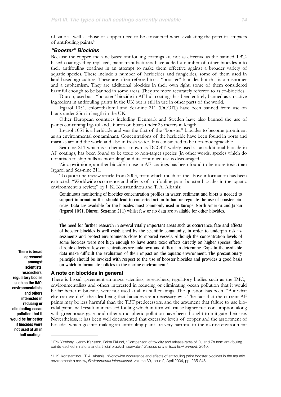of zinc as well as those of copper need to be considered when evaluating the potential impacts of antifouling paints[.6](#page-13-0)

#### *"Booster" Biocides*

Because the copper and zinc based antifouling coatings are not as effective as the banned TBTbased coatings they replaced, paint manufacturers have added a number of other biocides into their antifouling coatings in an attempt to make them effective against a broader variety of aquatic species. These include a number of herbicides and fungicides, some of them used in land-based agriculture. These are often referred to as "booster" biocides but this is a misnomer and a euphemism. They are additional biocides in their own right, some of them considered harmful enough to be banned in some areas. They are more accurately referred to as co-biocides.

Diuron, used as a "booster" biocide in AF hull coatings has been entirely banned as an active ingredient in antifouling paints in the UK but is still in use in other parts of the world.

Irgarol 1051, chlorothalomil and Sea-nine 211 (DCOIT) have been banned from use on boats under 25m in length in the UK.

Other European countries including Denmark and Sweden have also banned the use of paints containing Irgarol and Diuron on boats under 25 meters in length.

Irgarol 1051 is a herbicide and was the first of the "booster" biocides to become prominent as an environmental contaminant. Concentrations of the herbicide have been found in ports and marinas around the world and also in fresh water. It is considered to be non-biodegradable.

Sea-nine 211 which is a chemical known as DCOIT, widely used as an additional biocide in AF coatings, has been found to be toxic to non-target species (in other words, species which do not attach to ship hulls as biofouling) and its continued use is discouraged.

Zinc pyrithione, another biocide in use in AF coatings has been found to be more toxic than Irgarol and Sea-nine 211.

To quote one review article from 2003, from which much of the above information has been extracted, "Worldwide occurrence and effects of antifouling paint booster biocides in the aquatic environment: a review," by I. K. Konstantinou and T. A. Albanis:

Continuous monitoring of biocides concentration profiles in water, sediment and biota is needed to support information that should lead to concerted action to ban or regulate the use of booster biocides. Data are available for the biocides most commonly used in Europe, North America and Japan (Irgarol 1051, Diuron, Sea-nine 211) whilst few or no data are available for other biocides.

The need for further research in several vitally important areas such as occurrence, fate and effects of booster biocides is well established by the scientific community, in order to underpin risk assessments and protect environments close to moored vessels. Although the concentration levels of some biocides were not high enough to have acute toxic effects directly on higher species, their chronic effects at low concentrations are unknown and difficult to determine. Gaps in the available data make difficult the evaluation of their impact on the aquatic environment. The precautionary principle should be invoked with respect to the use of booster biocides and provides a good basis on which to formulate policies to the marine environment.[7](#page-13-1)

#### **A note on biocides in general**

…

There is broad agreement amongst scientists, researchers, regulatory bodies such as the IMO, environmentalists and others interested in reducing or eliminating ocean pollution that it would be far better if biocides were not used at all in hull coatings. The question has been, "But what else can we do?" the idea being that biocides are a necessary evil. The fact that the current AF paints may be less harmful than the TBT predecessors, and the argument that failure to use biocidal paints will result in increased fouling which in turn will cause higher fuel consumption along with greenhouse gases and other atmospheric pollution have been thought to mitigate their use. Nevertheless, it has been well documented that excessive levels of copper and the assortment of biocides which go into making an antifouling paint are very harmful to the marine environment

**There is broad agreement amongst scientists, researchers, regulatory bodies such as the IMO, environmentalists and others interested in reducing or eliminating ocean pollution that it would be far better if biocides were not used at all in hull coatings.**

<span id="page-13-0"></span><sup>6</sup> Erik Ytreberg, Jenny Karlsson, Britta Eklund, "Comparison of toxicity and release rates of Cu and Zn from anti-fouling paints leached in natural and artificial brackish seawater," *Science of the Total Environment*, 2010.

<span id="page-13-1"></span><sup>7</sup> I. K. Konstantinou, T. A. Albanis, "Worldwide occurrence and effects of antifouling paint booster biocides in the aquatic environment: a review, *Environmental International,* volume 30, issue 2, April 2004, pp. 235-248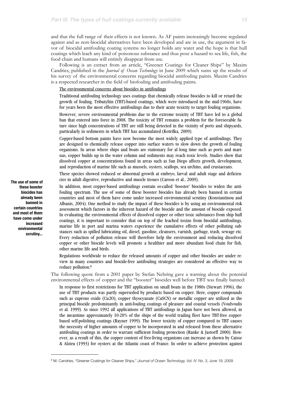and that the full range of their effects is not known. As AF paints increasingly become regulated against and as non-biocidal alternatives have been developed and are in use, the argument in favor of biocidal antifouling coating systems no longer holds any water and the hope is that hull coatings which leach any kind of poisonous substance and thus pose a hazard to sea life, fish, the food chain and humans will entirely disappear from use.

Following is an extract from an article, "Greener Coatings for Cleaner Ships" by Maxim Candries, published in the *Journal of Ocean Technology* in June 2009 which sums up the results of his survey of the environmental concerns regarding biocidal antifouling paints. Maxim Candries is a respected researcher in the field of biofouling and antifouling paints.

#### The environmental concerns about biocides in antifoulings

Traditional antifouling technology uses coatings that chemically release biocides to kill or retard the growth of fouling. Tributyltin (TBT)-based coatings, which were introduced in the mid-1960s, have for years been the most effective antifoulings due to their acute toxicity to target fouling organisms.

However, severe environmental problems due to the extreme toxicity of TBT have led to a global ban that entered into force in 2008. The toxicity of TBT remains a problem for the foreseeable future since high concentrations of TBT are still being detected in the vicinity of ports and shipyards, particularly in sediments in which TBT has accumulated (Kotrilka, 2009).

Copper-based bottom paints have now become the most widely applied type of antifoulings. They are designed to chemically release copper into surface waters to slow down the growth of fouling organisms. In areas where ships and boats are stationary for al long time such as ports and marinas, copper builds up in the water column and sediments may reach toxic levels. Studies show that dissolved copper at concentrations found in areas such as San Diego affects growth, development, and reproduction of marine life such as mussels, oysters, scallops, sea urchins, and crustaceans.

These species showed reduced or abnormal growth at embryo, larval and adult stage and deficiencies in adult digestive, reproductive and muscle tissues (Carson et al., 2009).

In addition, most copper-based antifoulings contain so-called 'booster' biocides to widen the antifouling spectrum. The use of some of these booster biocides has already been banned in certain countries and most of them have come under increased environmental scrutiny (Konstantinou and Albanis, 2004). One method to study the impact of these biocides is by using an environmental risk assessment which factors in the inherent hazard of the biocide and the amount of biocide exposed. In evaluating the environmental effects of dissolved copper or other toxic substances from ship hull coatings, it is important to consider that on top of the leached toxins from biocidal antifoulings, marine life in port and marina waters experience the cumulative effects of other polluting substances such as spilled lubricating oil, diesel, gasoline, cleansers, varnish, garbage, trash, sewage etc. Every reduction of pollution release will therefore help the environment and reducing dissolved copper or other biocide levels will promote a healthier and more abundant food chain for fish, other marine life and birds.

Regulations worldwide to reduce the released amounts of copper and other biocides are under review in many countries and biocide-free antifouling strategies are considered an effective way to reduce pollution[.8](#page-14-0)

The following quote from a 2001 paper by Stefan Nehring gave a warning about the potential environmental effects of copper and the "booster" biocides well before TBT was finally banned:

In response to first restrictions for TBT application on small boats in the 1980s (Stewart 1996), the use of TBT products was partly superseded by products based on copper. Here, copper compounds such as cuprous oxide (Cu2O), copper thyocyanate (CuSCN) or metallic copper are utilized as the principal biocide predominantly in anti-fouling coatings of pleasure and coastal vessels (Voulvoulis et al. 1999). As since 1992 all applications of TBT antifoulings in Japan have not been allowed, in the meantime approximately 10-20% of the ships of the world trading fleet have TBT-free copperbased self-polishing coatings (Rayner 1999). The lower toxicity of copper compared to TBT causes the necessity of higher amounts of copper to be incorporated in and released from these alternative antifouling coatings in order to warrant sufficient fouling protection (Ranke & Jastorff 2000). However, as a result of this, the copper content of free-living organisms can increase as shown by Caisse & Alzieu (1993) for oysters at the Atlantic coast of France. In order to achieve protection against

**The use of some of these booster biocides has already been banned in certain countries and most of them have come under increased environmental scrutiny...**

<span id="page-14-0"></span><sup>8</sup> M. Candries, "Greener Coatings for Cleaner Ships," *Journal of Ocean Technology, Vol. IV. No. 3, June 19, 2009.*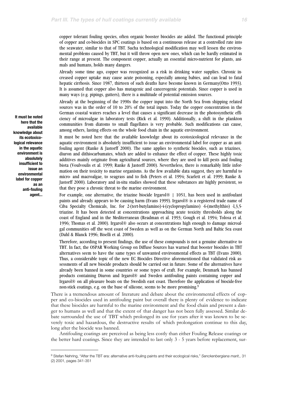copper tolerant fouling species, often organic booster biocides ate added. The functional principle of copper and co-biocides in SPC coatings is based on a continuous release at a controlled rate into the seawater, similar to that of TBT. Sucha technological modification may well lessen the environmental problems caused by TBT, but it will throw open new ones, which can be hardly estimated in their range at present. The component copper, actually an essential micro-nutrient for plants, animals and humans, holds many dangers.

Already some time ago, copper was recognized as a risk in drinking water supplies. Chronic increased copper uptake may cause acute poisoning, especially among babies, and can lead to fatal hepatic cirrhosis. Since 1987, thirteen of such deaths have become known in Germany(Otto 1993). It is assumed that copper also has mutagenic and cancerogenic potentials. Since copper is used in many ways (e.g. pipings, gutters), there is a multitude of potential emission sources.

Already at the beginning of the 1990s the copper input into the North Sea from shipping related sources was in the order of 10 to 20% of the total inputs. Today the copper concentration in the German coastal waters reaches a level that causes a significant decrease in the photosynthetic efficiency of microalgae in laboratory tests (Rick et al. 1990). Additionally, a shift in the plankton communities from diatoms to small flagellates is very probable. Such modifications can cause, among others, lasting effects on the whole food chain in the aquatic environment.

It must be noted here that the available knowledge about its ecotoxicological relevance in the aquatic environment is absolutely insufficient to issue an environmental label for copper as an antifouling agent (Ranke & Jastorff 2000). The same applies to synthetic biocides, such as triazines, diuron and dithiocarbamates, which are added to enhance the effect of copper. These highly toxic additives mainly originate from agricultural sources, where they are used to kill pests and fouling biota (Voulvoulis et al. 1999; Ranke & Jastorff 2000). Nevertheless, there is remarkably little information on their toxicity to marine organisms. As the few available data suggest, they are harmful to micro- and macroalgae, to seagrass and to fish (Peters et al. 1994; Scarlett et al. 1999; Ranke & Jastorff 2000). Laboratory and in-situ studies showed that these substances ate highly persistent, so that they pose a chronic threat to the marine environment.

For example, one alternative, the triazine biocide Irgarol® | 1051, has been used in antifoulant paints and already appears to be causing harm (Evans 1999). Irgarol® is a registered trade name of Ciba Specialty Chemicals, Inc. for 2-(tert-butylamino)-4-(cyclopropylamino) -6-(methylthio) -l,3,5 triazine. It has been detected at concentrations approaching acute toxicity thresholds along the coast of England and in the Mediterranean (Readman et al. 1993; Gough et al. 1994; Tolosa et al. 1996; Thomas et al. 2000). Irgarol® also occurs at concentrations high enough to damage microalgal communities off the west coast of Sweden as well as on the German North and Baltic Sea coast (Dahl & Blanck 1996; Biselli et al. 2000).

Therefore, according to present findings, the use of these compounds is not a genuine alternative to TBT. In fact, the OSPAR Working Group on Diffuse Sources has warned that booster biocides in TBT alternatives seem to have the same types of unwanted environmental effects as TBT (Evans 2000). Thus, a considerable topic of the new EC Biocides Directive aforementioned that validated risk assessments of all new biocide products should be carried out in future. Some of the alternatives have already been banned in some countries or some types of craft. For example, Denmark has banned products containing Diuron and Irgarol® and Sweden antifouling paints containing copper and Irgarol® on all pleasure boats on the Swedish east coast. Therefore the application of biocide-free non-stick coatings, e.g. on the base of silicone, seems to be more promising.<sup>[9](#page-15-0)</sup>

There is a tremendous amount of literature and debate about the environmental effects of copper and co-biocides used in antifouling paint but overall there is plenty of evidence to indicate that these biocides are harmful to the marine environment and the food chain and present a danger to humans as well and that the extent of that danger has not been fully assessed. Similar debate surrounded the use of TBT which prolonged its use for years after it was known to be severely toxic and hazardous, the destructive results of which prolongation continue to this day, long after the biocide was banned.

Antifouling coatings are perceived as being less costly than either Fouling Release coatings or the better hard coatings. Since they are intended to last only 3 - 5 years before replacement, sur-

**It must be noted here that the available knowledge about its ecotoxicological relevance in the aquatic environment is absolutely insufficient to issue an environmental label for copper as an anti-fouling agent...**

<span id="page-15-0"></span><sup>9</sup> Stefan Nehring, "After the TBT era: alternative anti-fouling paints and their ecological risks," *Senckenbergiana marit.,* 31 (2) 2001, pages 341-351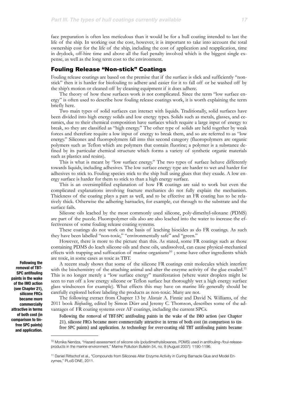face preparation is often less meticulous than it would be for a hull coating intended to last the life of the ship. In working out the cost, however, it is important to take into account the total ownership cost for the life of the ship, including the cost of application and reapplication, time in drydock, off-hire time and above all the fuel penalty involved which is the biggest single expense, as well as the long term cost to the environment.

### Fouling Release "Non-stick" Coatings

Fouling release coatings are based on the premise that if the surface is slick and sufficiently "nonstick" then it is harder for biofouling to adhere and easier for it to fall off or be washed off by the ship's motion or cleaned off by cleaning equipment if it does adhere.

The theory of how these surfaces work is not complicated. Since the term "low surface energy" is often used to describe how fouling release coatings work, it is worth explaining the term briefly here.

Two main types of solid surfaces can interact with liquids. Traditionally, solid surfaces have been divided into high energy solids and low energy types. Solids such as metals, glasses, and ceramics, due to their chemical composition have surfaces which require a large input of energy to break, so they are classified as "high energy." The other type of solids are held together by weak forces and therefore require a low input of energy to break them, and so are referred to as "low energy." Silicones and fluoropolymers fall into this second category (fluoropolymers are organic polymers such as Teflon which are polymers that contain fluorine; a polymer is a substance defined by its particular chemical structure which forms a variety of synthetic organic materials such as plastics and resins).

This is what is meant by "low surface energy." The two types of surface behave differently towards liquids, including adhesives. The low surface energy type are harder to wet and harder for adhesives to stick to. Fouling species stick to the ship hull using glues that they exude. A low energy surface is harder for them to stick to than a high energy surface.

This is an oversimplified explanation of how FR coatings are said to work but even the complicated explanations involving fracture mechanics do not fully explain the mechanism. Thickness of the coating plays a part as well, and to be effective an FR coating has to be relatively thick. Otherwise the adhering barnacles, for example, cut through to the substrate and the surface fails.

Silicone oils leached by the most commonly used silicone, poly-dimethyl-siloxane (PDMS) are part of the puzzle. Fluoropolymer oils also are also leached into the water to increase the effectiveness of some fouling release coating systems.

These coatings do not work on the basis of leaching biocides as do FR coatings. As such they have been labelled "non-toxic," "environmentally safe" and "green."

However, there is more to the picture than this. As stated, some FR coatings such as those containing PDMS do leach silicone oils and these oils, undissolved, can cause physical-mechanical effects with trapping and suffocation of marine organisms<sup>10</sup>; some have other ingredients which are toxic, in some cases as toxic as TBT.

A recent study shows that some of the silicone FR coatings emit molecules which interfere with the biochemistry of the attaching animal and alter the enzyme activity of the glue exuded.<sup>11</sup> This is no longer merely a "low surface energy" manifestation (where water droplets might be seen to run off a low energy silicone or Teflon surface but thoroughly wet a high energy surface glass windscreen for example). What effects this may have on marine life generally should be carefully explored before labeling the products as non-toxic. Many are not.

The following extract from Chapter 13 by Alistair A. Finnie and David N. Williams, of the 2011 book *Biofouling*, edited by Simon Dürr and Jeremy C. Thomson, describes some of the advantages of FR coating systems over AF coatings, including the current SPCs.

Following the removal of TBT-SPC antifouling paints in the wake of the IMO action (see Chapter 21), silicone FRCs became more commercially attractive in terms of both cost (in comparison to tinfree SPC paints) and application. As technology for over-coating old TBT antifouling paints became

**Following the removal of TBT-SPC antifouling paints in the wake of the IMO action (see Chapter 21), silicone FRCs became more commercially attractive in terms of both cost (in comparison to tinfree SPC paints) and application.**

<span id="page-16-0"></span><sup>10</sup> Monika Nendza, "Hazard assessment of silicone oils (polydimethylsiloxanes, PDMS) used in antifouling-/foul-releaseproducts in the marine environment," Marine Pollution Bulletin 54, no. 8 (August 2007): 1190-1196.

<span id="page-16-1"></span><sup>11</sup> Daniel Rittschof et al., "Compounds from Silicones Alter Enzyme Activity in Curing Barnacle Glue and Model Enzymes," PLoS ONE, 2011.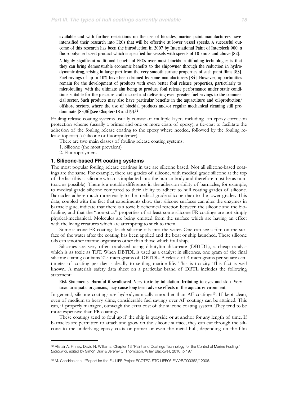available and with further restrictions on the use of biocides, marine paint manufacturers have intensified their research into FRCs that will be effective at lower vessel speeds. A successful outcome of this research has been the introduction in 2007 by International Paint of Intersleek 900, a fluoropolymer-based product which is specified for vessels with speeds of 10 knots and above [82].

A highly significant additional benefit of FRCs over most biocidal antifouling technologies is that they can bring demonstrable economic benefits to the shipowner through the reduction in hydrodynamic drag, arising in large part from the very smooth surface properties of such paint films [83]. Fuel savings of up to 10% have been claimed by some manufacturers [84]. However, opportunities remain for the development of products with even better foul release properties, particularly to microfouling, with the ultimate aim being to produce foul release performance under static conditions suitable for the pleasure craft market and delivering even greater fuel savings to the commercial sector. Such products may also have particular benefits in the aquaculture and oil-production/ offshore sectors, where the use of biocidal products and/or regular mechanical cleaning still predominate [85,86](see Chapters18 and19)[.12](#page-17-0)

Fouling release coating systems usually consist of multiple layers including an epoxy corrosion protection scheme (usually a primer and one or more coats of epoxy), a tie-coat to facilitate the adhesion of the fouling release coating to the epoxy where needed, followed by the fouling release topcoat(s) (silicone or fluoropolymer).

There are two main classes of fouling release coating systems:

- 1. Silicone (the most prevalent)
- 2. Fluoropolymers.

#### **1. Silicone-based FR coating systems**

The most popular fouling release coatings in use are silicone based. Not all silicone-based coatings are the same. For example, there are grades of silicone, with medical grade silicone at the top of the list (this is silicone which is implanted into the human body and therefore must be as nontoxic as possible). There is a notable difference in the adhesion ability of barnacles, for example, to medical grade silicone compared to their ability to adhere to hull coating grades of silicone. Barnacles adhere much more easily to the medical grade silicone than to the lower grades. This data, coupled with the fact that experiments show that silicone surfaces can alter the enzymes in barnacle glue, indicate that there is a toxic biochemical reaction between the silicone and the biofouling, and that the "non-stick" properties of at least some silicone FR coatings are not simply physical-mechanical. Molecules are being emitted from the surface which are having an effect with the living creatures which are attempting to stick to them.

Some silicone FR coatings leach silicone oils into the water. One can see a film on the surface of the water after the coating has been applied and the boat or ship launched. These silicone oils can smother marine organisms other than those which foul ships.

Silicones are very often catalyzed using dibutyltin dilaureate (DBTDL), a cheap catalyst which is as toxic as TBT. When DBTDL is used as a catalyst in silicones, one gram of the final silicone coating contains 215 micrograms of DBTDL. A release of 4 micrograms per square centimeter of coating per day is deadly to settling marine life. This is toxicity. This fact is well known. A materials safety data sheet on a particular brand of DBTL includes the following statement:

Risk Statements: Harmful if swallowed. Very toxic by inhalation. Irritating to eyes and skin. Very toxic to aquatic organisms, may cause long-term adverse effects in the aquatic environment.

In general, silicone coatings are hydrodynamically smoother than AF coatings<sup>13</sup>. If kept clean, even of medium to heavy slime, considerable fuel savings over AF coatings can be attained. This can, if properly managed, outweigh the extra cost of the silicone coating system. They tend to be more expensive than FR coatings.

These coatings tend to foul up if the ship is quayside or at anchor for any length of time. If barnacles are permitted to attach and grow on the silicone surface, they can cut through the silicone to the underlying epoxy coats or primer or even the metal hull, depending on the film

<span id="page-17-0"></span><sup>&</sup>lt;sup>12</sup> Alistair A. Finney, David N. Williams, Chapter 13 "Paint and Coatings Technology for the Control of Marine Fouling," *Biofouling*, edited by Simon Dürr & Jeremy C. Thompson. Wiley Blackwell, 2010: p 197

<span id="page-17-1"></span><sup>13</sup> M. Candries et al. "Report for the EU LIFE Project ECOTEC-STC LIFE06 ENV/B/000362," 2006.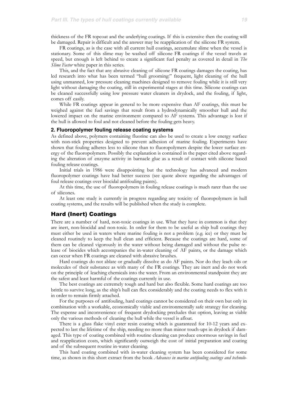thickness of the FR topcoat and the underlying coatings. If this is extensive then the coating will be damaged. Repair is difficult and the answer may be reapplication of the silicone FR system.

FR coatings, as is the case with all current hull coatings, accumulate slime when the vessel is stationary. Some of this slime may be washed off silicone FR coatings if the vessel travels at speed, but enough is left behind to create a significant fuel penalty as covered in detail in *The Slime Factor* white paper in this series.

This, and the fact that any abrasive cleaning of silicone FR coatings damages the coating, has led research into what has been termed "hull grooming:" frequent, light cleaning of the hull using unmanned, low pressure cleaning machines designed to remove fouling while it is still very light without damaging the coating, still in experimental stages at this time. Silicone coatings can be cleaned successfully using low pressure water cleaners in drydock, and the fouling, if light, comes off easily.

While FR coatings appear in general to be more expensive than AF coatings, this must be weighed against the fuel savings that result from a hydrodynamically smoother hull and the lowered impact on the marine environment compared to AF systems. This advantage is lost if the hull is allowed to foul and not cleaned before the fouling gets heavy.

#### **2. Fluoropolymer fouling release coating systems**

As defined above, polymers containing fluorine can also be used to create a low energy surface with non-stick properties designed to prevent adhesion of marine fouling. Experiments have shown that fouling adheres less to silicone than to fluoropolymers despite the lower surface energy of the fluoropolymers. Possibly the explanation is contained in the paper cited above regarding the alteration of enzyme activity in barnacle glue as a result of contact with silicone based fouling release coatings.

Initial trials in 1986 were disappointing but the technology has advanced and modern fluoropolymer coatings have had better success (see quote above regarding the advantages of foul release coatings over biocidal antifouling paints).

At this time, the use of fluoropolymers in fouling release coatings is much rarer than the use of silicones.

At least one study is currently in progress regarding any toxicity of fluoropolymers in hull coating systems, and the results will be published when the study is complete.

#### Hard (Inert) Coatings

There are a number of hard, non-toxic coatings in use. What they have in common is that they are inert, non-biocidal and non-toxic. In order for them to be useful as ship hull coatings they must either be used in waters where marine fouling is not a problem (e.g. ice) or they must be cleaned routinely to keep the hull clean and efficient. Because the coatings are hard, some of them can be cleaned vigorously in the water without being damaged and without the pulse release of biocides which accompanies the in-water cleaning of AF paints, or the damage which can occur when FR coatings are cleaned with abrasive brushes.

Hard coatings do not ablate or gradually dissolve as do AF paints. Nor do they leach oils or molecules of their substance as with many of the FR coatings. They are inert and do not work on the principle of leaching chemicals into the water. From an environmental standpoint they are the safest and least harmful of the coatings currently in use.

The best coatings are extremely tough and hard but also flexible. Some hard coatings are too brittle to survive long, as the ship's hull can flex considerably and the coating needs to flex with it in order to remain firmly attached.

For the purposes of antifouling, hard coatings cannot be considered on their own but only in combination with a workable, economically viable and environmentally safe strategy for cleaning. The expense and inconvenience of frequent drydocking precludes that option, leaving as viable only the various methods of cleaning the hull while the vessel is afloat.

There is a glass flake vinyl ester resin coating which is guaranteed for 10-12 years and expected to last the lifetime of the ship, needing no more than minor touch-ups in drydock if damaged. This type of coating combined with routine cleaning can produce enormous savings in fuel and reapplication costs, which significantly outweigh the cost of initial preparation and coating and of the subsequent routine in-water cleaning.

This hard coating combined with in-water cleaning system has been considered for some time, as shown in this short extract from the book *Advances in marine antifouling coatings and technolo-*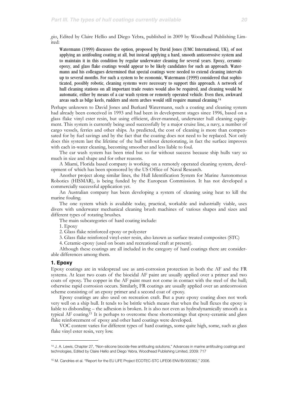*gies*, Edited by Claire Hellio and Diego Yebra, published in 2009 by Woodhead Publishing Limited:

Watermann (1999) discusses the option, proposed by David Jones (UMC International, UK), of not applying an antifouling coating at all, but instead applying a hard, smooth anticorrosive system and to maintain it in this condition by regular underwater cleaning for several years. Epoxy, ceramicepoxy, and glass flake coatings would appear to be likely candidates for such an approach. Watermann and his colleagues determined that special coatings were needed to extend cleaning intervals up to several months. For such a system to be economic, Watermann (1999) considered that sophisticated, possibly robotic, cleaning systems were necessary to support this approach. A network of hull cleaning stations on all important trade routes would also be required, and cleaning would be automatic, either by means of a car wash system or remotely operated vehicle. Even then, awkward areas such as bilge keels, rudders and stern arches would still require manual cleaning[.14](#page-19-0)

Perhaps unknown to David Jones and Burkard Watermann, such a coating and cleaning system had already been conceived in 1993 and had been in development stages since 1996, based on a glass flake vinyl ester resin, but using efficient, diver-manned, underwater hull cleaning equipment. This system is currently being used successfully by a major cruise line, a navy, a number of cargo vessels, ferries and other ships. As predicted, the cost of cleaning is more than compensated for by fuel savings and by the fact that the coating does not need to be replaced. Not only does this system last the lifetime of the hull without deteriorating, in fact the surface improves with each in-water cleaning, becoming smoother and less liable to foul.

The car wash system has been tried but so far without success because ship hulls vary so much in size and shape and for other reasons.

A Miami, Florida based company is working on a remotely operated cleaning system, development of which has been sponsored by the US Office of Naval Research.

Another project along similar lines, the Hull Identification System for Marine Autonomous Robotics (HISMAR), is being funded by the European Commission. It has not developed a commercially successful application yet.

An Australian company has been developing a system of cleaning using heat to kill the marine fouling.

The one system which is available today, practical, workable and industrially viable, uses divers with underwater mechanical cleaning brush machines of various shapes and sizes and different types of rotating brushes.

The main subcategories of hard coating include:

1. Epoxy

2. Glass flake reinforced epoxy or polyester

3. Glass flake reinforced vinyl-ester resin, also known as surface treated composites (STC)

4. Ceramic-epoxy (used on boats and recreational craft at present).

Although these coatings are all included in the category of hard coatings there are considerable differences among them.

#### **1. Epoxy**

Epoxy coatings are in widespread use as anti-corrosion protection in both the AF and the FR systems. At least two coats of the biocidal AF paint are usually applied over a primer and two coats of epoxy. The copper in the AF paint must not come in contact with the steel of the hull; otherwise rapid corrosion occurs. Similarly, FR coatings are usually applied over an anticorrosion scheme consisting of an epoxy primer and a second coat of epoxy.

Epoxy coatings are also used on recreation craft. But a pure epoxy coating does not work very well on a ship hull. It tends to be brittle which means that when the hull flexes the epoxy is liable to disbonding – the adhesion is broken. It is also not even as hydrodynamically smooth as a typical AF coating[.15](#page-19-1) It is perhaps to overcome these shortcomings that epoxy-ceramic and glass flake reinforcement of epoxy and other hard coatings were developed.

VOC content varies for different types of hard coatings, some quite high, some, such as glass flake vinyl ester resin, very low.

<span id="page-19-0"></span><sup>14</sup> J. A. Lewis, Chapter 27, "Non-silicone biocide-free antifouling solutions," Advances in marine antifouling coatings and technologies, Edited by Claire Hellio and Diego Yebra, Woodhead Publishing Limited, 2009: 717

<span id="page-19-1"></span><sup>15</sup> M. Candries et al. "Report for the EU LIFE Project ECOTEC-STC LIFE06 ENV/B/000362," 2006.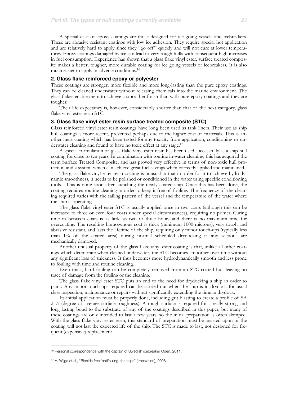A special case of epoxy coatings are those designed for ice going vessels and icebreakers. These are abrasive resistant coatings with low ice adhesion. They require special hot application and are relatively hard to apply since they "go off" quickly and will not cure at lower temperatures. Epoxy coatings damaged by ice can lead to very rough hulls with consequent high increases in fuel consumption. Experience has shown that a glass flake vinyl ester, surface treated composite makes a better, tougher, more durable coating for ice going vessels or icebreakers. It is also much easier to apply in adverse conditions[.16](#page-20-0)

#### **2. Glass flake reinforced epoxy or polyester**

These coatings are stronger, more flexible and more long-lasting than the pure epoxy coatings. They can be cleaned underwater without releasing chemicals into the marine environment. The glass flakes enable them to achieve a smoother finish than with pure epoxy coatings and they are tougher.

Their life expectancy is, however, considerably shorter than that of the next category, glass flake vinyl ester resin STC.

#### **3. Glass flake vinyl ester resin surface treated composite (STC)**

Glass reinforced vinyl ester resin coatings have long been used as tank liners. Their use as ship hull coatings is more recent, prevented perhaps due to the higher cost of materials. This is another inert coating which has been tested for any toxicity from application, conditioning or underwater cleaning and found to have no toxic effect at any stage.<sup>17</sup>

A special formulation of glass flake vinyl ester resin has been used successfully as a ship hull coating for close to ten years. In combination with routine in-water cleaning, this has acquired the term Surface Treated Composite, and has proved very effective in terms of non-toxic hull protection and a system which can achieve great fuel savings when correctly applied and maintained.

The glass flake vinyl ester resin coating is unusual in that in order for it to achieve hydrodynamic smoothness, it needs to be polished or conditioned in the water using specific conditioning tools. This is done soon after launching the newly coated ship. Once this has been done, the coating requires routine cleaning in order to keep it free of fouling. The frequency of the cleaning required varies with the sailing pattern of the vessel and the temperature of the water where the ship is operating.

The glass flake vinyl ester STC is usually applied once in two coats (although this can be increased to three or even four coats under special circumstances), requiring no primer. Curing time in between coats is as little as two or three hours and there is no maximum time for overcoating. The resulting homogenous coat is thick (minimum 1000 microns), very tough and abrasive resistant, and lasts the lifetime of the ship, requiring only minor touch-ups (typically less than 1% of the coated area) during normal scheduled drydocking if any sections are mechanically damaged.

Another unusual property of the glass flake vinyl ester coating is that, unlike all other coatings which deteriorate when cleaned underwater, the STC becomes smoother over time without any significant loss of thickness. It thus becomes more hydrodynamically smooth and less prone to fouling with time and routine cleaning.

Even thick, hard fouling can be completely removed from an STC coated hull leaving no trace of damage from the fouling or the cleaning.

The glass flake vinyl ester STC puts an end to the need for drydocking a ship in order to paint. Any minor touch-ups required can be carried out when the ship is in drydock for usual class inspection, maintenance or repairs without significantly extending the time in drydock.

Its initial application must be properly done, including grit blasting to create a profile of SA 2 ½ (degree of average surface roughness). A rough surface is required for a really strong and long lasting bond to the substrate of any of the coatings described in this paper, but many of these coatings are only intended to last a few years, so the initial preparation is often skimped. With the glass flake vinyl ester resin, this standard of preparation must be insisted upon or the coating will not last the expected life of the ship. The STC is made to last, not designed for frequent (expensive) replacement.

<span id="page-20-0"></span><sup>&</sup>lt;sup>16</sup> Personal correspondence with the captain of Swedish icebreaker Oden, 2011.

<span id="page-20-1"></span><sup>&</sup>lt;sup>17</sup> A. Wijga et al., "Biocide free 'antifouling' for ships" (translation), 2008.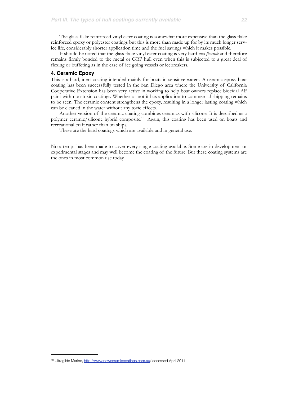The glass flake reinforced vinyl ester coating is somewhat more expensive than the glass flake reinforced epoxy or polyester coatings but this is more than made up for by its much longer service life, considerably shorter application time and the fuel savings which it makes possible.

It should be noted that the glass flake vinyl ester coating is very hard *and flexible* and therefore remains firmly bonded to the metal or GRP hull even when this is subjected to a great deal of flexing or buffeting as in the case of ice going vessels or icebreakers.

#### **4. Ceramic Epoxy**

This is a hard, inert coating intended mainly for boats in sensitive waters. A ceramic-epoxy boat coating has been successfully tested in the San Diego area where the University of California Cooperative Extension has been very active in working to help boat owners replace biocidal AF paint with non-toxic coatings. Whether or not it has application to commercial shipping remains to be seen. The ceramic content strengthens the epoxy, resulting in a longer lasting coating which can be cleaned in the water without any toxic effects.

Another version of the ceramic coating combines ceramics with silicone. It is described as a polymer ceramic/silicone hybrid composite[.18](#page-21-0) Again, this coating has been used on boats and recreational craft rather than on ships.

These are the hard coatings which are available and in general use.

No attempt has been made to cover every single coating available. Some are in development or experimental stages and may well become the coating of the future. But these coating systems are the ones in most common use today.

 $\mathcal{L}$  , we have the set of  $\mathcal{L}$ 

<span id="page-21-0"></span><sup>18</sup> Ultraglide Marine, [http://www.newceramiccoatings.com.au/](http://www.newceramiccoatings.com.au) accessed April 2011.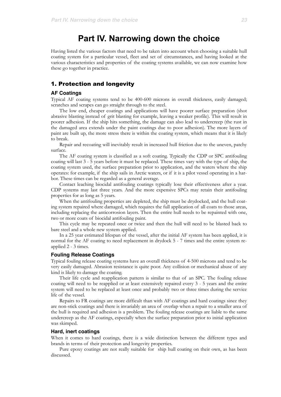# **Part IV. Narrowing down the choice**

Having listed the various factors that need to be taken into account when choosing a suitable hull coating system for a particular vessel, fleet and set of circumstances, and having looked at the various characteristics and properties of the coating systems available, we can now examine how these go together in practice.

### 1. Protection and longevity

#### **AF Coatings**

Typical AF coating systems tend to be 400-600 microns in overall thickness, easily damaged; scratches and scrapes can go straight through to the steel.

The low end, cheaper coatings and applications will have poorer surface preparation (shot abrasive blasting instead of grit blasting for example, leaving a weaker profile). This will result in poorer adhesion. If the ship hits something, the damage can also lead to undercreep (the rust in the damaged area extends under the paint coatings due to poor adhesion). The more layers of paint are built up, the more stress there is within the coating system, which means that it is likely to break.

Repair and recoating will inevitably result in increased hull friction due to the uneven, patchy surface.

The AF coating system is classified as a soft coating. Typically the CDP or SPC antifouling coating will last 3 - 5 years before it must be replaced. These times vary with the type of ship, the coating system used, the surface preparation prior to application, and the waters where the ship operates: for example, if the ship sails in Arctic waters, or if it is a pilot vessel operating in a harbor. These times can be regarded as a general average.

Contact leaching biocidal antifouling coatings typically lose their effectiveness after a year. CDP systems may last three years. And the more expensive SPCs may retain their antifouling properties for as long as 5 years.

When the antifouling properties are depleted, the ship must be drydocked, and the hull coating system repaired where damaged, which requires the full application of all coats to those areas, including replacing the anticorrosion layers. Then the entire hull needs to be repainted with one, two or more coats of biocidal antifouling paint.

This cycle may be repeated once or twice and then the hull will need to be blasted back to bare steel and a whole new system applied.

In a 25 year estimated lifespan of the vessel, after the initial AF system has been applied, it is normal for the AF coating to need replacement in drydock 5 - 7 times and the entire system reapplied 2 - 3 times.

#### **Fouling Release Coatings**

Typical fouling release coating systems have an overall thickness of 4-500 microns and tend to be very easily damaged. Abrasion resistance is quite poor. Any collision or mechanical abuse of any kind is likely to damage the coating.

Their life cycle and reapplication pattern is similar to that of an SPC. The fouling release coating will need to be reapplied or at least extensively repaired every 3 - 5 years and the entire system will need to be replaced at least once and probably two or three times during the service life of the vessel.

Repairs to FR coatings are more difficult than with AF coatings and hard coatings since they are non-stick coatings and there is invariably an area of overlap when a repair to a smaller area of the hull is required and adhesion is a problem. The fouling release coatings are liable to the same undercreep as the AF coatings, especially when the surface preparation prior to initial application was skimped.

#### **Hard, inert coatings**

When it comes to hard coatings, there is a wide distinction between the different types and brands in terms of their protection and longevity properties.

Pure epoxy coatings are not really suitable for ship hull coating on their own, as has been discussed.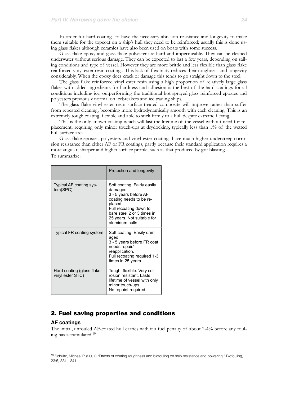In order for hard coatings to have the necessary abrasion resistance and longevity to make them suitable for the topcoat on a ship's hull they need to be reinforced; usually this is done using glass flakes although ceramics have also been used on boats with some success.

Glass flake epoxy and glass flake polyester are hard and impermeable. They can be cleaned underwater without serious damage. They can be expected to last a few years, depending on sailing conditions and type of vessel. However they are more brittle and less flexible than glass flake reinforced vinyl ester resin coatings. This lack of flexibility reduces their toughness and longevity considerably. When the epoxy does crack or damage this tends to go straight down to the steel.

The glass flake reinforced vinyl ester resin using a high proportion of relatively large glass flakes with added ingredients for hardness and adhesion is the best of the hard coatings for all conditions including ice, outperforming the traditional hot sprayed glass reinforced epoxies and polyesters previously normal on icebreakers and ice trading ships.

The glass flake vinyl ester resin surface treated composite will improve rather than suffer from repeated cleaning, becoming more hydrodynamically smooth with each cleaning. This is an extremely tough coating, flexible and able to stick firmly to a hull despite extreme flexing.

This is the only known coating which will last the lifetime of the vessel without need for replacement, requiring only minor touch-ups at drydocking, typically less than 1% of the wetted hull surface area.

Glass flake epoxies, polyesters and vinyl ester coatings have much higher undercreep corrosion resistance than either AF or FR coatings, partly because their standard application requires a more angular, sharper and higher surface profile, such as that produced by grit blasting. To summarize:

|                                               | Protection and longevity                                                                                                                                                                                        |
|-----------------------------------------------|-----------------------------------------------------------------------------------------------------------------------------------------------------------------------------------------------------------------|
| Typical AF coating sys-<br>tem(SPC)           | Soft coating. Fairly easily<br>damaged.<br>3 - 5 years before AF<br>coating needs to be re-<br>placed.<br>Full recoating down to<br>bare steel 2 or 3 times in<br>25 years. Not suitable for<br>aluminum hulls. |
| <b>Typical FR coating system</b>              | Soft coating. Easily dam-<br>aged.<br>3 - 5 years before FR coat<br>needs repair/<br>reapplication.<br>Full recoating required 1-3<br>times in 25 years.                                                        |
| Hard coating (glass flake<br>vinyl ester STC) | Tough, flexible. Very cor-<br>rosion resistant. Lasts<br>lifetime of vessel with only<br>minor touch-ups.<br>No repaint required.                                                                               |

## 2. Fuel saving properties and conditions

#### **AF coatings**

The initial, unfouled AF-coated hull carries with it a fuel penalty of about 2-4% before any fouling has accumulated[.19](#page-23-0)

<span id="page-23-0"></span><sup>19</sup> Schultz, Michael P. (2007) "Effects of coating roughness and biofouling on ship resistance and powering," Biofouling, 23:5, 331 - 341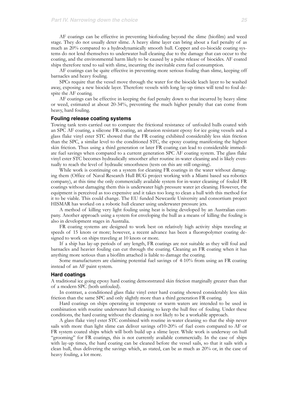AF coatings can be effective in preventing biofouling beyond the slime (biofilm) and weed stage. They do not usually deter slime. A heavy slime layer can bring about a fuel penalty of as much as 20% compared to a hydrodynamically smooth hull. Copper and co-biocide coating systems do not lend themselves to underwater hull cleaning due to the damage that can occur to the coating, and the environmental harm likely to be caused by a pulse release of biocides. AF coated ships therefore tend to sail with slime, incurring the inevitable extra fuel consumption.

AF coatings can be quite effective in preventing more serious fouling than slime, keeping off barnacles and heavy fouling.

SPCs require that the vessel move through the water for the biocide leach layer to be washed away, exposing a new biocide layer. Therefore vessels with long lay-up times will tend to foul despite the AF coating.

AF coatings can be effective in keeping the fuel penalty down to that incurred by heavy slime or weed, estimated at about 20-34%, preventing the much higher penalty that can come from heavy, hard fouling.

#### **Fouling release coating systems**

Towing tank tests carried out to compare the frictional resistance of unfouled hulls coated with an SPC AF coating, a silicone FR coating, an abrasion resistant epoxy for ice going vessels and a glass flake vinyl ester STC showed that the FR coating exhibited considerably less skin friction than the SPC, a similar level to the conditioned STC, the epoxy coating manifesting the highest skin friction. Thus using a third generation or later FR coating can lead to considerable immediate fuel savings when compared to a current generation SPC AF coating system. The glass flake vinyl ester STC becomes hydraulically smoother after routine in-water cleaning and is likely eventually to reach the level of hydraulic smoothness (tests on this are still ongoing).

While work is continuing on a system for cleaning FR coatings in the water without damaging them (Office of Naval Research Hull BUG project working with a Miami based sea robotics company), at this time the only commercially available system for in-water cleaning of fouled FR coatings without damaging them this is underwater high pressure water jet cleaning. However, the equipment is perceived as too expensive and it takes too long to clean a hull with this method for it to be viable. This could change. The EU funded Newcastle University and consortium project HISMAR has worked on a robotic hull cleaner using underwater pressure jets.

A method of killing very light fouling using heat is being developed by an Australian company. Another approach using a system for enveloping the hull as a means of killing the fouling is also in development stages in Australia.

FR coating systems are designed to work best on relatively high activity ships traveling at speeds of 15 knots or more; however, a recent advance has been a fluoropolymer coating designed to work on ships traveling at 10 knots or more.

If a ship has lay-up periods of any length, FR coatings are not suitable as they will foul and barnacles and heavier fouling can cut through the coating. Cleaning an FR coating when it has anything more serious than a biofilm attached is liable to damage the coating.

Some manufacturers are claiming potential fuel savings of 4-10% from using an FR coating instead of an AF paint system.

#### **Hard coatings**

A traditional ice going epoxy hard coating demonstrated skin friction marginally greater than that of a modern SPC (both unfouled).

In contrast, a conditioned glass flake vinyl ester hard coating showed considerably less skin friction than the same SPC and only slightly more than a third generation FR coating.

Hard coatings on ships operating in temperate or warm waters are intended to be used in combination with routine underwater hull cleaning to keep the hull free of fouling. Under these conditions, the hard coating without the cleaning is not likely to be a workable approach.

A glass flake vinyl ester STC combined with routine in-water cleaning so that the ship never sails with more than light slime can deliver savings of10-20% of fuel costs compared to AF or FR system coated ships which will both build up a slime layer. While work is underway on hull "grooming" for FR coatings, this is not currently available commercially. In the case of ships with lay-up times, the hard coating can be cleaned before the vessel sails, so that it sails with a clean hull, thus delivering the savings which, as stated, can be as much as 20% or, in the case of heavy fouling, a lot more.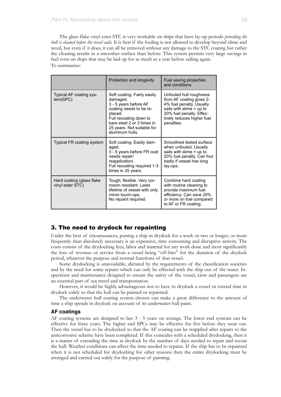The glass flake vinyl ester STC is very workable on ships that have lay-up periods *providing the hull is cleaned before the vessel sails.* It is best if the fouling is not allowed to develop beyond slime and weed, but even if it does, it can all be removed without any damage to the STC coating but rather the cleaning results in a smoother surface than before. This system permits very large savings in fuel even on ships that may be laid up for as much as a year before sailing again. To summarize:

|                                               | Protection and longevity                                                                                                                                                                                        | Fuel saving properties<br>and conditions                                                                                                                                              |
|-----------------------------------------------|-----------------------------------------------------------------------------------------------------------------------------------------------------------------------------------------------------------------|---------------------------------------------------------------------------------------------------------------------------------------------------------------------------------------|
| Typical AF coating sys-<br>tem(SPC)           | Soft coating. Fairly easily<br>damaged.<br>3 - 5 years before AF<br>coating needs to be re-<br>placed.<br>Full recoating down to<br>bare steel 2 or 3 times in<br>25 years. Not suitable for<br>aluminum hulls. | Unfouled hull roughness<br>from AF coating gives 2-<br>4% fuel penalty. Usually<br>sails with slime $=$ up to<br>20% fuel penalty. Effec-<br>tively reduces higher fuel<br>penalties. |
| Typical FR coating system                     | Soft coating. Easily dam-<br>aged.<br>3 - 5 years before FR coat<br>needs repair/<br>reapplication.<br>Full recoating required 1-3<br>times in 25 years.                                                        | Smoothest tested surface<br>when unfouled. Usually<br>sails with slime $=$ up to<br>20% fuel penalty. Can foul<br>badly if vessel has long<br>lay-ups.                                |
| Hard coating (glass flake<br>vinyl ester STC) | Tough, flexible. Very cor-<br>rosion resistant. Lasts<br>lifetime of vessel with only<br>minor touch-ups.<br>No repaint required.                                                                               | Combine hard coating<br>with routine cleaning to<br>provide maximum fuel<br>efficiency. Can save 20%<br>or more on fuel compared<br>to AF or FR coating.                              |

#### 3. The need to drydock for repainting

Under the best of circumstances, putting a ship in drydock for a week or two or longer, or more frequently than absolutely necessary is an expensive, time consuming and disruptive activity. The costs consist of the drydocking fees, labor and material for any work done and most significantly the loss of revenue or service from a vessel being "off-hire" for the duration of the drydock period, whatever the purpose and normal functions of that vessel.

Some drydocking is unavoidable, dictated by the requirements of the classification societies and by the need for some repairs which can only be effected with the ship out of the water. Inspections and maintenance designed to ensure the safety of the vessel, crew and passengers are an essential part of sea travel and transportation.

However, it would be highly advantageous not to have to drydock a vessel or extend time in drydock solely so that the hull can be painted or repainted.

The underwater hull coating system chosen can make a great difference to the amount of time a ship spends in drydock on account of its underwater hull paint.

#### **AF coatings**

AF coating systems are designed to last 3 - 5 years on average. The lower end systems can be effective for three years. The higher end SPCs may be effective for five before they wear out. Then the vessel has to be drydocked so that the AF coating can be reapplied after repairs to the anticorrosive scheme have been completed. If this coincides with a scheduled drydocking, then it is a matter of extending the time in drydock by the number of days needed to repair and recoat the hull. Weather conditions can affect the time needed to repaint. If the ship has to be repainted when it is not scheduled for drydocking for other reasons then the entire drydocking must be arranged and carried out solely for the purpose of painting.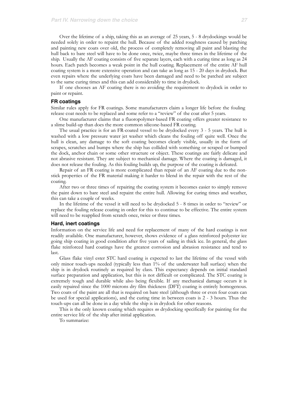Over the lifetime of a ship, taking this as an average of 25 years, 5 - 8 drydockings would be needed solely in order to repaint the hull. Because of the added roughness caused by patching and painting new coats over old, the process of completely removing all paint and blasting the hull back to bare steel will have to be done once, twice, maybe three times in the lifetime of the ship. Usually the AF coating consists of five separate layers, each with a curing time as long as 24 hours. Each patch becomes a weak point in the hull coating. Replacement of the entire AF hull coating system is a more extensive operation and can take as long as 15 - 20 days in drydock*.* But even repairs where the underlying coats have been damaged and need to be patched are subject to the same curing times and this can add considerably to time in drydock.

If one chooses an AF coating there is no avoiding the requirement to drydock in order to paint or repaint.

#### **FR coatings**

Similar rules apply for FR coatings. Some manufacturers claim a longer life before the fouling release coat needs to be replaced and some refer to a "review" of the coat after 5 years.

One manufacturer claims that a fluoropolymer-based FR coating offers greater resistance to a slime build-up than does the more common silicone-based FR coating.

The usual practice is for an FR-coated vessel to be drydocked every 3 - 5 years. The hull is washed with a low pressure water jet washer which cleans the fouling off quite well. Once the hull is clean, any damage to the soft coating becomes clearly visible, usually in the form of scrapes, scratches and bumps where the ship has collided with something or scraped or bumped the dock, anchor chain or some other structure or object. These coatings are fairly delicate and not abrasive resistant. They are subject to mechanical damage. Where the coating is damaged, it does not release the fouling. As this fouling builds up, the purpose of the coating is defeated.

Repair of an FR coating is more complicated than repair of an AF coating due to the nonstick properties of the FR material making it harder to blend in the repair with the rest of the coating.

After two or three times of repairing the coating system it becomes easier to simply remove the paint down to bare steel and repaint the entire hull. Allowing for curing times and weather, this can take a couple of weeks.

In the lifetime of the vessel it will need to be drydocked 5 - 8 times in order to "review" or replace the fouling release coating in order for this to continue to be effective. The entire system will need to be reapplied from scratch once, twice or three times.

#### **Hard, inert coatings**

Information on the service life and need for replacement of many of the hard coatings is not readily available. One manufacturer, however, shows evidence of a glass reinforced polyester ice going ship coating in good condition after five years of sailing in thick ice. In general, the glass flake reinforced hard coatings have the greatest corrosion and abrasion resistance and tend to last.

Glass flake vinyl ester STC hard coating is expected to last the lifetime of the vessel with only minor touch-ups needed (typically less than 1% of the underwater hull surface) when the ship is in drydock routinely as required by class. This expectancy depends on initial standard surface preparation and application, but this is not difficult or complicated. The STC coating is extremely tough and durable while also being flexible. If any mechanical damage occurs it is easily repaired since the 1000 microns dry film thickness (DFT) coating is entirely homogenous. Two coats of the paint are all that is required on bare steel (although three or even four coats can be used for special applications), and the curing time in between coats is 2 - 3 hours. Thus the touch-ups can all be done in a day while the ship is in drydock for other reasons.

This is the only known coating which requires *no* drydocking specifically for painting for the entire service life of the ship after initial application.

To summarize: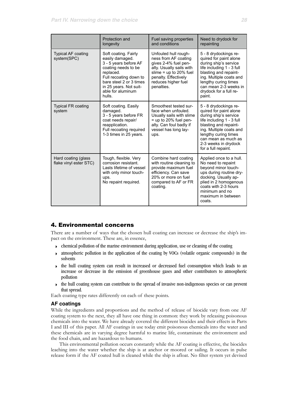|                                                                                                                                                                                      | Protection and<br>longevity                                                                                                                                                                                        | Fuel saving properties<br>and conditions                                                                                                                                                  | Need to drydock for<br>repainting                                                                                                                                                                                                                       |
|--------------------------------------------------------------------------------------------------------------------------------------------------------------------------------------|--------------------------------------------------------------------------------------------------------------------------------------------------------------------------------------------------------------------|-------------------------------------------------------------------------------------------------------------------------------------------------------------------------------------------|---------------------------------------------------------------------------------------------------------------------------------------------------------------------------------------------------------------------------------------------------------|
| <b>Typical AF coating</b><br>system(SPC)                                                                                                                                             | Soft coating. Fairly<br>easily damaged.<br>3 - 5 years before AF<br>coating needs to be<br>replaced.<br>Full recoating down to<br>bare steel 2 or 3 times<br>in 25 years. Not suit-<br>able for aluminum<br>hulls. | Unfouled hull rough-<br>ness from AF coating<br>gives 2-4% fuel pen-<br>alty. Usually sails with<br>slime = $up$ to 20% fuel<br>penalty. Effectively<br>reduces higher fuel<br>penalties. | 5 - 8 drydockings re-<br>quired for paint alone<br>during ship's service<br>life including 1 - 3 full<br>blasting and repaint-<br>ing. Multiple coats and<br>lengthy curing times<br>can mean 2-3 weeks in<br>drydock for a full re-<br>paint.          |
| <b>Typical FR coating</b><br>system                                                                                                                                                  | Soft coating. Easily<br>damaged.<br>3 - 5 years before FR<br>coat needs repair/<br>reapplication.<br>Full recoating required<br>1-3 times in 25 years.                                                             | Smoothest tested sur-<br>face when unfouled.<br>Usually sails with slime<br>$=$ up to 20% fuel pen-<br>alty. Can foul badly if<br>vessel has long lay-<br>ups.                            | 5 - 8 drydockings re-<br>quired for paint alone<br>during ship's service<br>life including 1 - 3 full<br>blasting and repaint-<br>ing. Multiple coats and<br>lengthy curing times<br>can mean as much as<br>2-3 weeks in drydock<br>for a full repaint. |
| Hard coating (glass<br>Tough, flexible. Very<br>flake vinyl ester STC)<br>corrosion resistant.<br>Lasts lifetime of vessel<br>with only minor touch-<br>ups.<br>No repaint required. |                                                                                                                                                                                                                    | Combine hard coating<br>with routine cleaning to<br>provide maximum fuel<br>efficiency. Can save<br>20% or more on fuel<br>compared to AF or FR<br>coating.                               | Applied once to a hull.<br>No need to repaint<br>bevond minor touch-<br>ups during routine dry-<br>docking. Usually ap-<br>plied in 2 homogenous<br>coats with 2-3 hours<br>minimum and no<br>maximum in between<br>coats.                              |

# 4. Environmental concerns

There are a number of ways that the chosen hull coating can increase or decrease the ship's impact on the environment. These are, in essence,

- $\rightarrow$  chemical pollution of the marine environment during application, use or cleaning of the coating
- atmospheric pollution in the application of the coating by VOCs (volatile organic compounds) in the solvents
- ‣ the hull coating system can result in increased or decreased fuel consumption which leads to an increase or decrease in the emission of greenhouse gases and other contributors to atmospheric pollution
- $\rightarrow$  the hull coating system can contribute to the spread of invasive non-indigenous species or can prevent that spread.

Each coating type rates differently on each of these points.

#### **AF coatings**

While the ingredients and proportions and the method of release of biocide vary from one AF coating system to the next, they all have one thing in common: they work by releasing poisonous chemicals into the water. We have already covered the different biocides and their effects in Parts I and III of this paper. All AF coatings in use today emit poisonous chemicals into the water and these chemicals are in varying degree harmful to marine life, contaminate the environment and the food chain, and are hazardous to humans.

This environmental pollution occurs constantly while the AF coating is effective, the biocides leaching into the water whether the ship is at anchor or moored or sailing. It occurs in pulse release form if the AF coated hull is cleaned while the ship is afloat. No filter system yet devised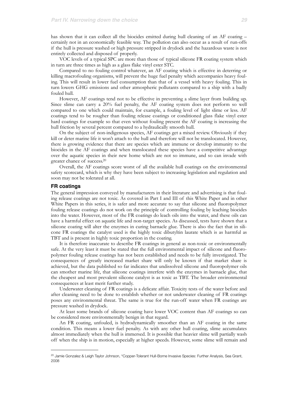has shown that it can collect all the biocides emitted during hull cleaning of an AF coating – certainly not in an economically feasible way. The pollution can also occur as a result of run-offs if the hull is pressure washed or high pressure stripped in drydock and the hazardous waste is not entirely collected and disposed of properly.

VOC levels of a typical SPC are more than those of typical silicone FR coating system which in turn are three times as high as a glass flake vinyl ester STC.

Compared to no fouling control whatever, an AF coating which is effective in deterring or killing macrofouling organisms, will prevent the huge fuel penalty which accompanies heavy fouling. This will result in lower fuel consumption than that of a vessel with heavy fouling. This in turn lowers GHG emissions and other atmospheric pollutants compared to a ship with a badly fouled hull*.*

However, AF coatings tend not to be effective in preventing a slime layer from building up. Since slime can carry a 20% fuel penalty, the AF coating system does not perform so well compared to one which could maintain, for example, a fouling level of light slime or less. AF coatings tend to be rougher than fouling release coatings or conditioned glass flake vinyl ester hard coatings for example so that even without fouling present the AF coating is increasing the hull friction by several percent compared to a hydraulically smooth hull.

On the subject of non-indigenous species, AF coatings get a mixed review. Obviously if they kill or deter marine life it won't attach to the hull and therefore will not be translocated. However, there is growing evidence that there are species which are immune or develop immunity to the biocides in the AF coatings and when translocated these species have a competitive advantage over the aquatic species in their new home which are not so immune, and so can invade with greater chance of success[.20](#page-28-0)

Overall, the AF coatings score worst of all the available hull coatings on the environmental safety scorecard, which is why they have been subject to increasing legislation and regulation and soon may not be tolerated at all.

#### **FR coatings**

The general impression conveyed by manufacturers in their literature and advertising is that fouling release coatings are not toxic. As covered in Part I and III of this White Paper and in other White Papers in this series, it is safer and more accurate to say that silicone and fluoropolymer fouling release coatings do not work on the principle of controlling fouling by leaching biocides into the water. However, most of the FR coatings do leach oils into the water, and these oils can have a harmful effect on aquatic life and non-target species. As discussed, tests have shown that a silicone coating will alter the enzymes in curing barnacle glue. There is also the fact that in silicone FR coatings the catalyst used is the highly toxic dibutyltin laurate which is as harmful as TBT and is present in highly toxic proportion in the coating.

It is therefore inaccurate to describe FR coatings in general as non-toxic or environmentally safe. At the very least it must be stated that the full environmental impact of silicone and fluoropolymer fouling release coatings has not been established and needs to be fully investigated. The consequences of greatly increased market share will only be known if that market share is achieved, but the data published so far indicates that undissolved silicone and fluoropolymer oils can smother marine life, that silicone coatings interfere with the enzymes in barnacle glue, that the cheapest and most prevalent silicone catalyst is as toxic as TBT. The broader environmental consequences at least merit further study.

Underwater cleaning of FR coatings is a delicate affair. Toxicity tests of the water before and after cleaning need to be done to establish whether or not underwater cleaning of FR coatings poses any environmental threat. The same is true for the run-off water when FR coatings are pressure washed in drydock.

At least some brands of silicone coating have lower VOC content than AF coatings so can be considered more environmentally benign in that regard.

An FR coating, unfouled, is hydrodynamically smoother than an AF coating in the same condition. This means a lower fuel penalty. As with any other hull coating, slime accumulates almost immediately when the hull is immersed. It is possible that heavier slime will partially wash off when the ship is in motion, especially at higher speeds. However, some slime will remain and

<span id="page-28-0"></span><sup>&</sup>lt;sup>20</sup> Jamie Gonzalez & Leigh Taylor Johnson, "Copper-Tolerant Hull-Borne Invasive Species: Further Analysis, Sea Grant, 2008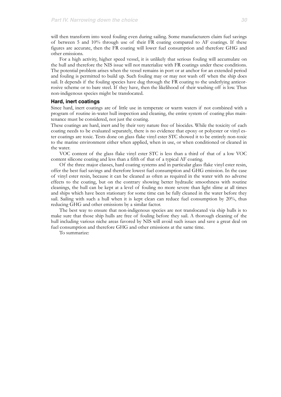will then transform into weed fouling even during sailing. Some manufacturers claim fuel savings of between 5 and 10% through use of their FR coating compared to AF coatings. If these figures are accurate, then the FR coating will lower fuel consumption and therefore GHG and other emissions.

For a high activity, higher speed vessel, it is unlikely that serious fouling will accumulate on the hull and therefore the NIS issue will not materialize with FR coatings under these conditions. The potential problem arises when the vessel remains in port or at anchor for an extended period and fouling is permitted to build up. Such fouling may or may not wash off when the ship does sail. It depends if the fouling species have dug through the FR coating to the underlying anticorrosive scheme or to bare steel. If they have, then the likelihood of their washing off is low. Thus non-indigenous species might be translocated.

#### **Hard, inert coatings**

Since hard, inert coatings are of little use in temperate or warm waters if not combined with a program of routine in-water hull inspection and cleaning, the entire system of coating plus maintenance must be considered, not just the coating.

These coatings are hard, inert and by their very nature free of biocides. While the toxicity of each coating needs to be evaluated separately, there is no evidence that epoxy or polyester or vinyl ester coatings are toxic. Tests done on glass flake vinyl ester STC showed it to be entirely non-toxic to the marine environment either when applied, when in use, or when conditioned or cleaned in the water.

VOC content of the glass flake vinyl ester STC is less than a third of that of a low VOC content silicone coating and less than a fifth of that of a typical AF coating.

Of the three major classes, hard coating systems and in particular glass flake vinyl ester resin, offer the best fuel savings and therefore lowest fuel consumption and GHG emission. In the case of vinyl ester resin, because it can be cleaned as often as required in the water with no adverse effects to the coating, but on the contrary showing better hydraulic smoothness with routine cleanings, the hull can be kept at a level of fouling no more severe than light slime at all times and ships which have been stationary for some time can be fully cleaned in the water before they sail. Sailing with such a hull when it is kept clean can reduce fuel consumption by 20%, thus reducing GHG and other emissions by a similar factor.

The best way to ensure that non-indigenous species are not translocated via ship hulls is to make sure that those ship hulls are free of fouling before they sail. A thorough cleaning of the hull including various niche areas favored by NIS will avoid such issues and save a great deal on fuel consumption and therefore GHG and other emissions at the same time.

To summarize: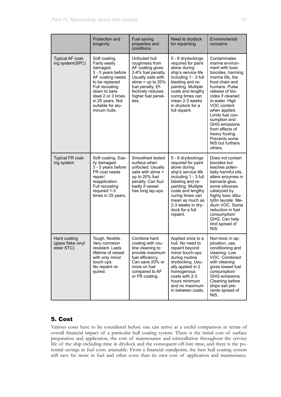|                                                  | Protection and<br>longevity                                                                                                                                                                                              | Fuel saving<br>properties and<br>conditions                                                                                                                                                     | Need to drydock<br>for repainting                                                                                                                                                                                                                                | Environmental<br>concerns                                                                                                                                                                                                                                                                                                                                                |
|--------------------------------------------------|--------------------------------------------------------------------------------------------------------------------------------------------------------------------------------------------------------------------------|-------------------------------------------------------------------------------------------------------------------------------------------------------------------------------------------------|------------------------------------------------------------------------------------------------------------------------------------------------------------------------------------------------------------------------------------------------------------------|--------------------------------------------------------------------------------------------------------------------------------------------------------------------------------------------------------------------------------------------------------------------------------------------------------------------------------------------------------------------------|
| Typical AF coat-<br>ing system(SPC)              | Soft coating.<br>Fairly easily<br>damaged.<br>3 - 5 years before<br>AF coating needs<br>to be replaced.<br>Full recoating<br>down to bare<br>steel 2 or 3 times<br>in 25 years. Not<br>suitable for alu-<br>minum hulls. | Unfouled hull<br>roughness from<br>AF coating gives<br>2-4% fuel penalty.<br>Usually sails with<br>slime = $up$ to 20%<br>fuel penalty. Ef-<br>fectively reduces<br>higher fuel penal-<br>ties. | 5 - 8 drydockings<br>required for paint<br>alone during<br>ship's service life<br>including 1 - 3 full<br>blasting and re-<br>painting. Multiple<br>coats and lengthy<br>curing times can<br>mean 2-3 weeks<br>in drydock for a<br>full repaint.                 | Contaminates<br>marine environ-<br>ment with toxic<br>biocides, harming<br>marine life, the<br>food chain and<br>humans. Pulse<br>release of bio-<br>cides if cleaned<br>in-water. High<br>VOC content<br>when applied.<br>Limits fuel con-<br>sumption and<br><b>GHG</b> emissions<br>from effects of<br>heavy fouling.<br>Prevents some<br>NIS but furthers<br>others. |
| <b>Typical FR coat-</b><br>ing system            | Soft coating. Eas-<br>ily damaged.<br>3 - 5 years before<br>FR coat needs<br>repair/<br>reapplication.<br>Full recoating<br>required 1-3<br>times in 25 years.                                                           | Smoothest tested<br>surface when<br>unfouled. Usually<br>sails with slime =<br>up to 20% fuel<br>penalty. Can foul<br>badly if vessel<br>has long lay-ups.                                      | 5 - 8 drydockings<br>required for paint<br>alone during<br>ship's service life<br>including 1 - 3 full<br>blasting and re-<br>painting. Multiple<br>coats and lengthy<br>curing times can<br>mean as much as<br>2-3 weeks in dry-<br>dock for a full<br>repaint. | Does not contain<br>biocides but<br>leaches poten-<br>tially harmful oils,<br>alters enzymes in<br>barnacle glue;<br>some silicones<br>catalyzed by<br>highly toxic dibu-<br>tyltin laurate. Me-<br>dium VOC. Some<br>reduction in fuel<br>consumption/<br>GHG. Can help<br>limit spread of<br>NIS.                                                                      |
| Hard coating<br>(glass flake vinyl<br>ester STC) | Tough, flexible.<br>Very corrosion<br>resistant. Lasts<br>lifetime of vessel<br>with only minor<br>touch-ups.<br>No repaint re-<br>quired.                                                                               | Combine hard<br>coating with rou-<br>tine cleaning to<br>provide maximum<br>fuel efficiency.<br>Can save 20% or<br>more on fuel<br>compared to AF<br>or FR coating.                             | Applied once to a<br>hull. No need to<br>repaint beyond<br>minor touch-ups<br>during routine<br>drydocking. Usu-<br>ally applied in 2<br>homogenous<br>coats with 2-3<br>hours minimum<br>and no maximum<br>in between coats.                                    | Non-toxic in ap-<br>plication, use,<br>conditioning and<br>cleaning. Low<br>VOC. Combined<br>with cleaning<br>gives lowest fuel<br>consumption/<br>GHG emissions.<br>Cleaning before<br>ships sail pre-<br>vents spread of<br>NIS.                                                                                                                                       |

# 5. Cost

Various costs have to be considered before one can arrive at a useful comparison in terms of overall financial impact of a particular hull coating system. There is the initial cost of surface preparation and application, the cost of maintenance and reinstallation throughout the service life of the ship including time in drydock and the consequent off-hire time, and there is the potential savings in fuel costs attainable. From a financial standpoint, the best hull coating system will save far more in fuel and other costs than its own cost of application and maintenance.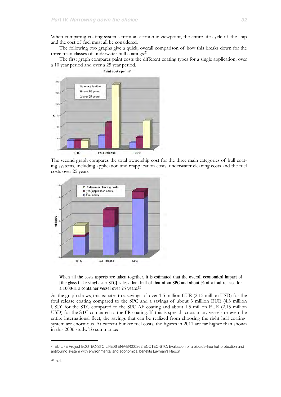When comparing coating systems from an economic viewpoint, the entire life cycle of the ship and the cost of fuel must all be considered.

The following two graphs give a quick, overall comparison of how this breaks down for the three main classes of underwater hull coatings[.21](#page-31-0)

The first graph compares paint costs the different coating types for a single application, over a 10 year period and over a 25 year period.



The second graph compares the total ownership cost for the three main categories of hull coating systems, including application and reapplication costs, underwater cleaning costs and the fuel costs over 25 years.



When all the costs aspects are taken together, it is estimated that the overall economical impact of [the glass flake vinyl ester STC] is less than half of that of an SPC and about ⅔ of a foul release for a 1000-TEU container vessel over 25 years[.22](#page-31-1)

As the graph shows, this equates to a savings of over 1.5 million EUR (2.15 million USD) for the foul release coating compared to the SPC and a savings of about 3 million EUR (4.3 million USD) for the STC compared to the SPC AF coating and about 1.5 million EUR (2.15 million USD) for the STC compared to the FR coating. If this is spread across many vessels or even the entire international fleet, the savings that can be realized from choosing the right hull coating system are enormous. At current bunker fuel costs, the figures in 2011 are far higher than shown in this 2006 study. To summarize:

<span id="page-31-1"></span><span id="page-31-0"></span><sup>21</sup> EU LIFE Project ECOTEC-STC LIFE06 ENV/B/000362 ECOTEC-STC: Evaluation of a biocide-free hull protection and antifouling system with environmental and economical benefits Layman's Report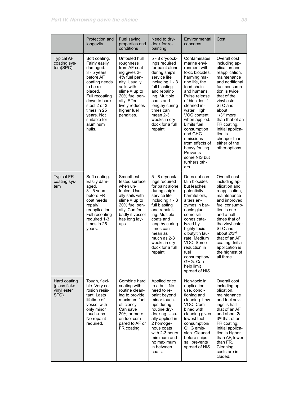|                                                     | Protection and<br>longevity                                                                                                                                                                                                            | Fuel saving<br>properties and<br>conditions                                                                                                                                                                   | Need to dry-<br>dock for re-<br>painting                                                                                                                                                                                                                                         | Environmental<br>concerns                                                                                                                                                                                                                                                                                                                                                      | Cost                                                                                                                                                                                                                                                                                                                    |
|-----------------------------------------------------|----------------------------------------------------------------------------------------------------------------------------------------------------------------------------------------------------------------------------------------|---------------------------------------------------------------------------------------------------------------------------------------------------------------------------------------------------------------|----------------------------------------------------------------------------------------------------------------------------------------------------------------------------------------------------------------------------------------------------------------------------------|--------------------------------------------------------------------------------------------------------------------------------------------------------------------------------------------------------------------------------------------------------------------------------------------------------------------------------------------------------------------------------|-------------------------------------------------------------------------------------------------------------------------------------------------------------------------------------------------------------------------------------------------------------------------------------------------------------------------|
| <b>Typical AF</b><br>coating sys-<br>tem(SPC)       | Soft coating.<br>Fairly easily<br>damaged.<br>$3 - 5$ years<br>before AF<br>coating needs<br>to be re-<br>placed.<br>Full recoating<br>down to bare<br>steel 2 or 3<br>times in 25<br>years. Not<br>suitable for<br>aluminum<br>hulls. | Unfouled hull<br>roughness<br>from AF coat-<br>ing gives 2-<br>4% fuel pen-<br>alty. Usually<br>sails with<br>slime $=$ up to<br>20% fuel pen-<br>alty. Effec-<br>tively reduces<br>higher fuel<br>penalties. | 5 - 8 drydock-<br>ings required<br>for paint alone<br>during ship's<br>service life<br>including $1 - 3$<br>full blasting<br>and repaint-<br>ing. Multiple<br>coats and<br>lengthy curing<br>times can<br>mean 2-3<br>weeks in dry-<br>dock for a full<br>repaint.               | Contaminates<br>marine envi-<br>ronment with<br>toxic biocides.<br>harming ma-<br>rine life, the<br>food chain<br>and humans.<br>Pulse release<br>of biocides if<br>cleaned in-<br>water. High<br>VOC content<br>when applied.<br>Limits fuel<br>consumption<br>and GHG<br>emissions<br>from effects of<br>heavy fouling.<br>Prevents<br>some NIS but<br>furthers oth-<br>ers. | Overall cost<br>including ap-<br>plication and<br>reapplication,<br>maintenance<br>and additional<br>fuel consump-<br>tion is twice<br>that of the<br>vinyl ester<br>STC and<br>about<br>1/3rd more<br>than that of an<br>FR coating.<br>Initial applica-<br>tion is<br>cheaper than<br>either of the<br>other options. |
| <b>Typical FR</b><br>coating sys-<br>tem            | Soft coating.<br>Easily dam-<br>aged.<br>$3 - 5$ years<br>before FR<br>coat needs<br>repair/<br>reapplication.<br>Full recoating<br>required 1-3<br>times in 25<br>years.                                                              | Smoothest<br>tested surface<br>when un-<br>fouled. Usu-<br>ally sails with<br>slime $=$ up to<br>20% fuel pen-<br>alty. Can foul<br>badly if vessel<br>has long lay-<br>ups.                                  | 5 - 8 drydock-<br>ings required<br>for paint alone<br>during ship's<br>service life<br>including $1 - 3$<br>full blasting<br>and repaint-<br>ing. Multiple<br>coats and<br>lengthy curing<br>times can<br>mean as<br>much as 2-3<br>weeks in dry-<br>dock for a full<br>repaint. | Does not con-<br>tain biocides<br>but leaches<br>potentially<br>harmful oils,<br>alters en-<br>zymes in bar-<br>nacle glue;<br>some sili-<br>cones cata-<br>lyzed by<br>highly toxic<br>dibutyltin lau-<br>rate. Medium<br>VOC. Some<br>reduction in<br>fuel<br>consumption/<br>GHG. Can<br>help limit<br>spread of NIS.                                                       | Overall cost<br>including ap-<br>plication and<br>reapplication,<br>maintenance<br>and improved<br>fuel consump-<br>tion is one<br>and a half<br>times that of<br>the vinyl ester<br>STC and<br>about 2/3rd<br>that of an AF<br>coating. Initial<br>application is<br>the highest of<br>all three.                      |
| Hard coating<br>(glass flake<br>vinyl ester<br>STC) | Tough, flexi-<br>ble. Very cor-<br>rosion resis-<br>tant. Lasts<br>lifetime of<br>vessel with<br>only minor<br>touch-ups.<br>No repaint<br>required.                                                                                   | Combine hard<br>coating with<br>routine clean-<br>ing to provide<br>maximum fuel<br>efficiency.<br>Can save<br>20% or more<br>on fuel com-<br>pared to AF or<br>FR coating.                                   | Applied once<br>to a hull. No<br>need to re-<br>paint beyond<br>minor touch-<br>ups during<br>routine dry-<br>docking. Usu-<br>ally applied in<br>2 homoge-<br>nous coats<br>with 2-3 hours<br>minimum and<br>no maximum<br>in between<br>coats.                                 | Non-toxic in<br>application,<br>use, condi-<br>tioning and<br>cleaning. Low<br>VOC. Com-<br>bined with<br>cleaning gives<br>lowest fuel<br>consumption/<br>GHG emis-<br>sion. Cleaned<br>before ships<br>sail prevents<br>spread of NIS.                                                                                                                                       | Overall cost<br>including ap-<br>plication,<br>maintenance<br>and fuel sav-<br>ings is half<br>that of an AF<br>and about 2/<br>3rd that of an<br>FR coating.<br>Initial applica-<br>tion is higher<br>than AF, lower<br>than FR.<br>Cleaning<br>costs are in-<br>cluded.                                               |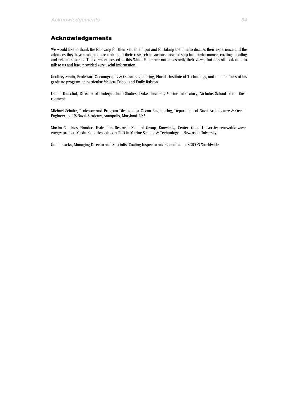# Acknowledgements

We would like to thank the following for their valuable input and for taking the time to discuss their experience and the advances they have made and are making in their research in various areas of ship hull performance, coatings, fouling and related subjects. The views expressed in this White Paper are not necessarily their views, but they all took time to talk to us and have provided very useful information.

Geoffrey Swain, Professor, Oceanography & Ocean Engineering, Florida Institute of Technology, and the members of his graduate program, in particular Melissa Tribou and Emily Ralston.

Daniel Rittschof, Director of Undergraduate Studies, Duke University Marine Laboratory, Nicholas School of the Environment.

Michael Schultz, Professor and Program Director for Ocean Engineering, Department of Naval Architecture & Ocean Engineering, US Naval Academy, Annapolis, Maryland, USA.

Maxim Candries, Flanders Hydraulics Research Nautical Group, Knowledge Center; Ghent University renewable wave energy project. Maxim Candries gained a PhD in Marine Science & Technology at Newcastle University.

Gunnar Ackx, Managing Director and Specialist Coating Inspector and Consultant of SCICON Worldwide.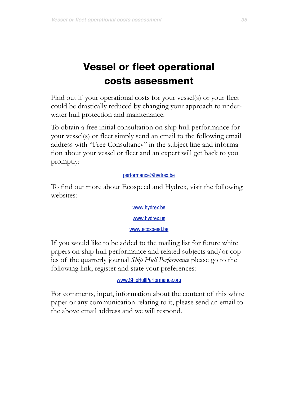# Vessel or fleet operational costs assessment

Find out if your operational costs for your vessel(s) or your fleet could be drastically reduced by changing your approach to underwater hull protection and maintenance.

To obtain a free initial consultation on ship hull performance for your vessel(s) or fleet simply send an email to the following email address with "Free Consultancy" in the subject line and information about your vessel or fleet and an expert will get back to you promptly:

# [performance@hydrex.be](mailto:performance@hydrex.be)

To find out more about Ecospeed and Hydrex, visit the following websites:

> [www.hydrex.be](http://www.hydrex.be) [www.hydrex.us](http://www.hydrex.us) [www.ecospeed.be](http://www.ecospeed.be)

If you would like to be added to the mailing list for future white papers on ship hull performance and related subjects and/or copies of the quarterly journal *Ship Hull Performance* please go to the following link, register and state your preferences:

[www.ShipHullPerformance.org](http://www.ShipHullPerformance.org)

For comments, input, information about the content of this white paper or any communication relating to it, please send an email to the above email address and we will respond.